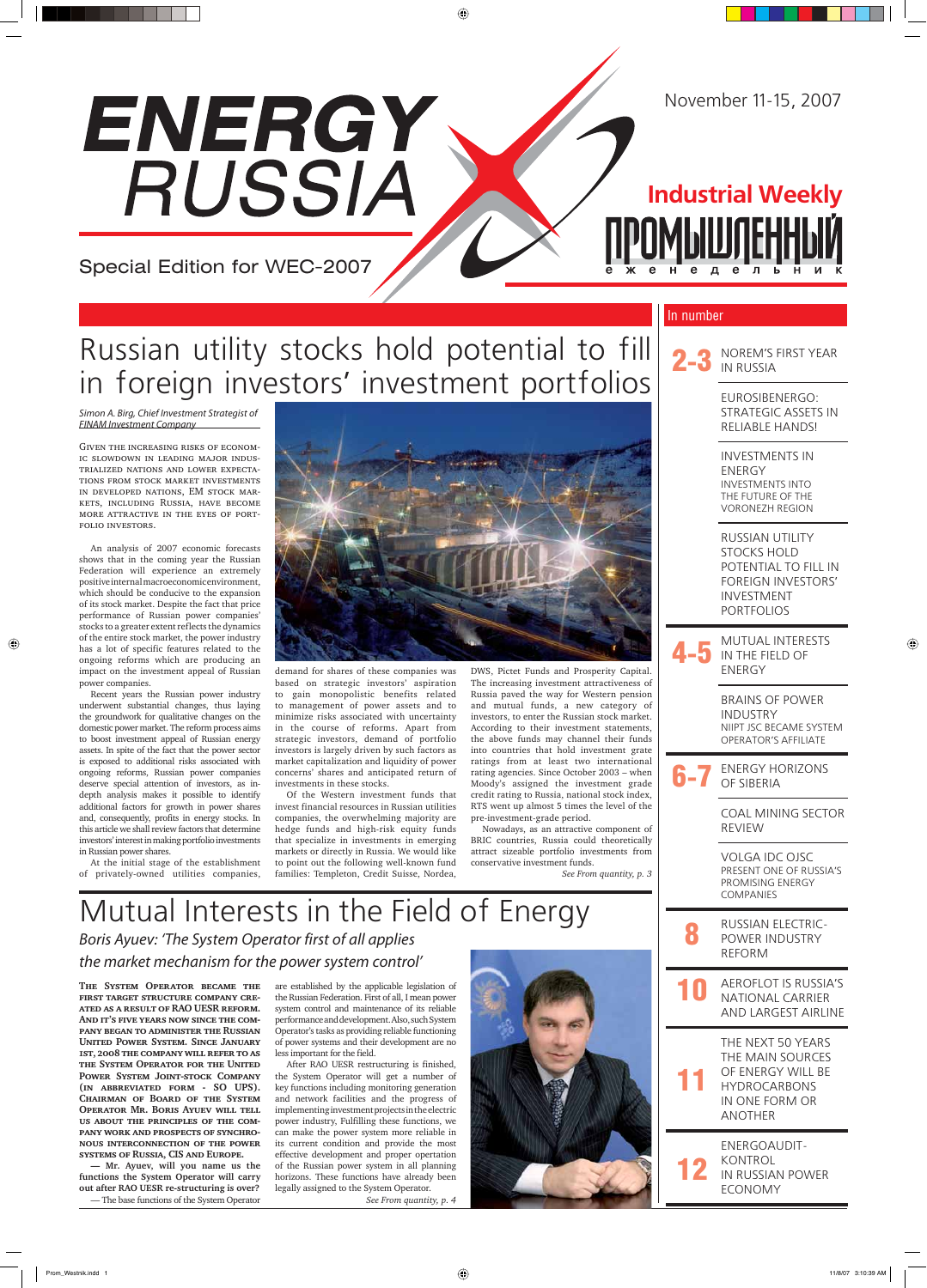#### In number

**The System Operator became the first target structure company created as a result of RAO UESR reform.**  AND IT'S FIVE YEARS NOW SINCE THE COM**pany began to administer the Russian United Power System. Since January 1st, 2008 the company will refer to as the System Operator for the United Power System Joint-stock Company (in abbreviated form - SO UPS). Chairman of Board of the System Operator Mr. Boris Ayuev will tell us about the principles of the company work and prospects of synchronous interconnection of the power systems of Russia, CIS and Europe.**

**— Mr. Ayuev, will you name us the functions the System Operator will carry out after RAO UESR re-structuring is over?**

— The base functions of the System Operator

are established by the applicable legislation of the Russian Federation. First of all, I mean power system control and maintenance of its reliable performance and development. Also, such System Operator's tasks as providing reliable functioning of power systems and their development are no less important for the field.

After RAO UESR restructuring is finished, the System Operator will get a number of key functions including monitoring generation and network facilities and the progress of implementing investment projects in the electric power industry, Fulfilling these functions, we can make the power system more reliable in its current condition and provide the most effective development and proper opertation of the Russian power system in all planning horizons. These functions have already been legally assigned to the System Operator.

*See From quantity, p. 4*



## Mutual Interests in the Field of Energy

### Boris Ayuev: 'The System Operator first of all applies the market mechanism for the power system control'

Simon A. Birg, Chief Investment Strategist of FINAM Investment Company

Given the increasing risks of economic slowdown in leading major industrialized nations and lower expectations from stock market investments in developed nations, EM stock markets, including Russia, have become more attractive in the eyes of portfolio investors.

An analysis of 2007 economic forecasts shows that in the coming year the Russian Federation will experience an extremely positive internal macroeconomic environment, which should be conducive to the expansion of its stock market. Despite the fact that price performance of Russian power companies' stocks to a greater extent reflects the dynamics of the entire stock market, the power industry has a lot of specific features related to the ongoing reforms which are producing an impact on the investment appeal of Russian power companies.

◈

NOREM'S FIRST YEAR IN RUSSIA

MUTUAL INTERESTS IN THE FIELD OF ENERGY

ENERGY HORIZONS OF SIBERIA

AEROFLOT IS RUSSIA'S NATIONAL CARRIER AND LARGEST AIRLINE

Recent years the Russian power industry underwent substantial changes, thus laying the groundwork for qualitative changes on the domestic power market. The reform process aims to boost investment appeal of Russian energy assets. In spite of the fact that the power sector is exposed to additional risks associated with ongoing reforms, Russian power companies deserve special attention of investors, as indepth analysis makes it possible to identify additional factors for growth in power shares and, consequently, profits in energy stocks. In this article we shall review factors that determine investors' interest in making portfolio investments in Russian power shares.

At the initial stage of the establishment of privately-owned utilities companies,



 $\bigoplus$ 

demand for shares of these companies was based on strategic investors' aspiration to gain monopolistic benefits related to management of power assets and to minimize risks associated with uncertainty in the course of reforms. Apart from strategic investors, demand of portfolio investors is largely driven by such factors as market capitalization and liquidity of power concerns' shares and anticipated return of investments in these stocks.

Of the Western investment funds that invest financial resources in Russian utilities companies, the overwhelming majority are hedge funds and high-risk equity funds that specialize in investments in emerging markets or directly in Russia. We would like to point out the following well-known fund families: Templeton, Credit Suisse, Nordea,

DWS, Pictet Funds and Prosperity Capital. The increasing investment attractiveness of Russia paved the way for Western pension and mutual funds, a new category of investors, to enter the Russian stock market. According to their investment statements, the above funds may channel their funds into countries that hold investment grate ratings from at least two international rating agencies. Since October 2003 – when Moody's assigned the investment grade credit rating to Russia, national stock index, RTS went up almost 5 times the level of the pre-investment-grade period.

Nowadays, as an attractive component of BRIC countries, Russia could theoretically attract sizeable portfolio investments from conservative investment funds.

*See From quantity, p. 3*

# Special Edition for WEC-2007

ENERGY

RUSSIA

# Russian utility stocks hold potential to fill in foreign investors' investment portfolios

**Industrial Weekly**

**ПРОМЫШЛЕННЫЙ** 

EUROSIBENERGO: STRATEGIC ASSETS IN RELIABLE HANDS!

INVESTMENTS IN ENERGY INVESTMENTS INTO THE FUTURE OF THE VORONEZH REGION

RUSSIAN UTILITY STOCKS HOLD POTENTIAL TO FILL IN FOREIGN INVESTORS' INVESTMENT PORTFOLIOS

BRAINS OF POWER INDUSTRY NIIPT JSC BECAME SYSTEM OPERATOR'S AFFILIATE

COAL MINING SECTOR REVIEW

VOLGA IDC OJSC PRESENT ONE OF RUSSIA'S PROMISING ENERGY COMPANIES

8 RUSSIAN ELECTRIC-POWER INDUSTRY REFORM

11 THE NEXT 50 YEARS THE MAIN SOURCES OF ENERGY WILL BE HYDROCARBONS IN ONE FORM OR ANOTHER

12 ENERGOAUDIT-KONTROL IN RUSSIAN POWER ECONOMY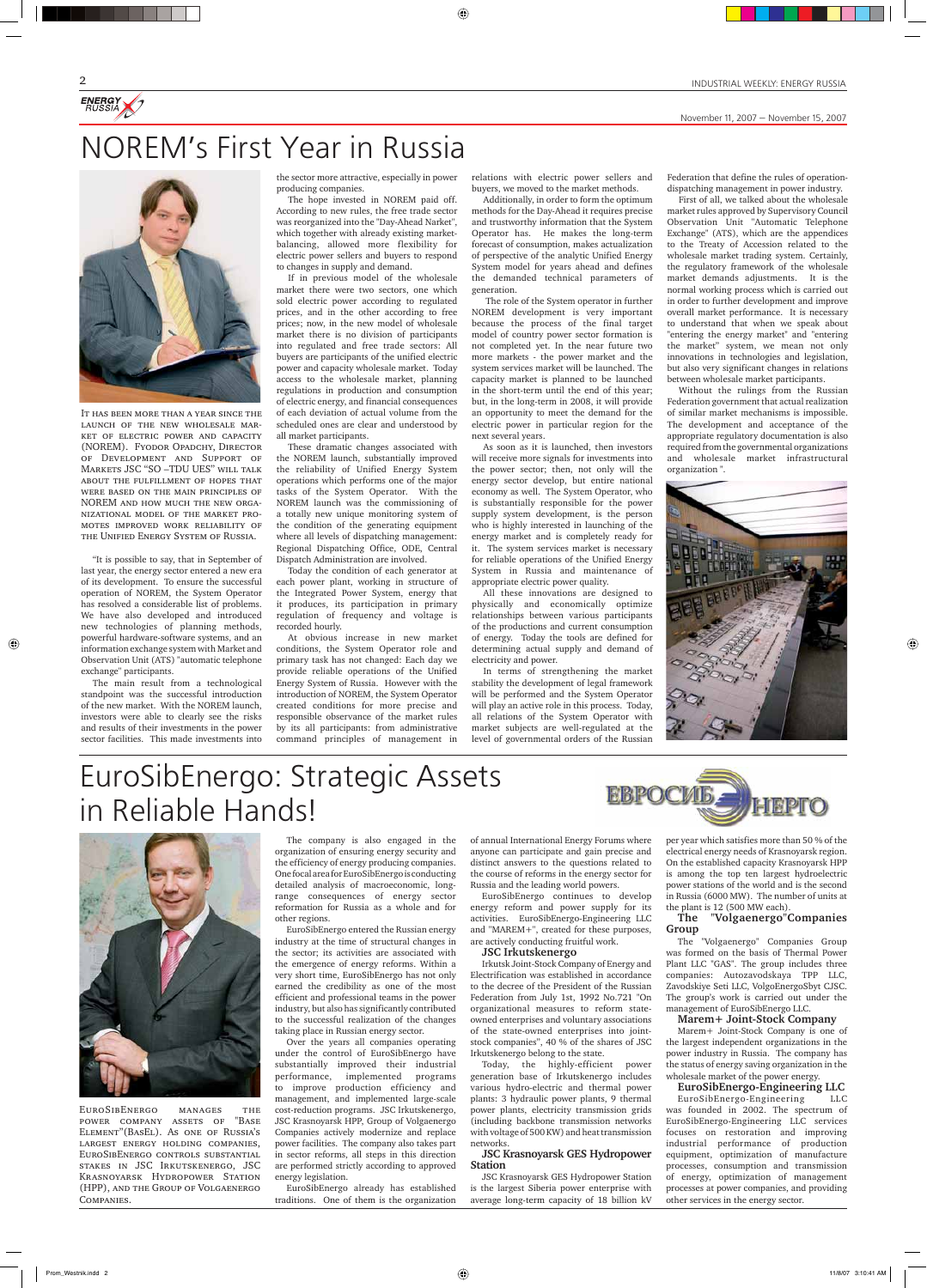ENERGY

November 11, 2007 — November 15, 2007

EuroSibEnergo manages the power company assets of "Base Element"(BasEl). As one of Russia's largest energy holding companies, EuroSibEnergo controls substantial stakes in JSC Irkutskenergo, JSC Krasnoyarsk Hydropower Station (HPP), and the Group of Volgaenergo Companies.

The company is also engaged in the organization of ensuring energy security and the efficiency of energy producing companies. One focal area for EuroSibEnergo is conducting detailed analysis of macroeconomic, longrange consequences of energy sector reformation for Russia as a whole and for

other regions.

EuroSibEnergo entered the Russian energy industry at the time of structural changes in the sector; its activities are associated with the emergence of energy reforms. Within a very short time, EuroSibEnergo has not only earned the credibility as one of the most efficient and professional teams in the power industry, but also has significantly contributed to the successful realization of the changes taking place in Russian energy sector.

Over the years all companies operating under the control of EuroSibEnergo have substantially improved their industrial performance, implemented programs to improve production efficiency and management, and implemented large-scale cost-reduction programs. JSC Irkutskenergo, JSC Krasnoyarsk HPP, Group of Volgaenergo Companies actively modernize and replace power facilities. The company also takes part in sector reforms, all steps in this direction are performed strictly according to approved energy legislation.

EuroSibEnergo already has established traditions. One of them is the organization of annual International Energy Forums where anyone can participate and gain precise and distinct answers to the questions related to the course of reforms in the energy sector for Russia and the leading world powers.

EuroSibEnergo continues to develop energy reform and power supply for its

activities. EuroSibEnergo-Engineering LLC and "MAREM+", created for these purposes, are actively conducting fruitful work.

#### **JSC Irkutskenergo**

Irkutsk Joint-Stock Company of Energy and Electrification was established in accordance to the decree of the President of the Russian Federation from July 1st, 1992 No.721 "On organizational measures to reform stateowned enterprises and voluntary associations of the state-owned enterprises into jointstock companies", 40 % of the shares of JSC Irkutskenergo belong to the state.

Today, the highly-efficient power generation base of Irkutskenergo includes various hydro-electric and thermal power plants: 3 hydraulic power plants, 9 thermal power plants, electricity transmission grids (including backbone transmission networks with voltage of 500 KW) and heat transmission networks.

#### **JSC Krasnoyarsk GES Hydropower Station**

JSC Krasnoyarsk GES Hydropower Station is the largest Siberia power enterprise with average long-term capacity of 18 billion kV

per year which satisfies more than 50 % of the electrical energy needs of Krasnoyarsk region. On the established capacity Krasnoyarsk HPP is among the top ten largest hydroelectric power stations of the world and is the second in Russia (6000 MW). The number of units at the plant is 12 (500 MW each).

**The "Volgaenergo"Companies Group**

The "Volgaenergo" Companies Group was formed on the basis of Thermal Power Plant LLC "GAS". The group includes three companies: Autozavodskaya TPP LLC, Zavodskiye Seti LLC, VolgoEnergoSbyt CJSC. The group's work is carried out under the management of EuroSibEnergo LLC.

#### **Marem+ Joint-Stock Company**

Marem+ Joint-Stock Company is one of the largest independent organizations in the power industry in Russia. The company has the status of energy saving organization in the wholesale market of the power energy.

#### **EuroSibEnergo-Engineering LLC**

EuroSibEnergo-Engineering LLC was founded in 2002. The spectrum of EuroSibEnergo-Engineering LLC services focuses on restoration and improving industrial performance of production equipment, optimization of manufacture processes, consumption and transmission of energy, optimization of management processes at power companies, and providing other services in the energy sector.

It has been more than a year since the launch of the new wholesale market of electric power and capacity (NOREM). Fyodor Opadchy, Director of Development and Support of Markets JSC "SO –TDU UES" will talk about the fulfillment of hopes that were based on the main principles of NOREM and how much the new organizational model of the market promotes improved work reliability of the Unified Energy System of Russia.

"It is possible to say, that in September of last year, the energy sector entered a new era of its development. To ensure the successful operation of NOREM, the System Operator has resolved a considerable list of problems. We have also developed and introduced new technologies of planning methods, powerful hardware-software systems, and an information exchange system with Market and Observation Unit (ATS) "automatic telephone exchange" participants.

◈

The main result from a technological standpoint was the successful introduction of the new market. With the NOREM launch, investors were able to clearly see the risks and results of their investments in the power sector facilities. This made investments into

the sector more attractive, especially in power producing companies.

⊕

The hope invested in NOREM paid off. According to new rules, the free trade sector was reorganized into the "Day-Ahead Narket", which together with already existing marketbalancing, allowed more flexibility for electric power sellers and buyers to respond to changes in supply and demand.

If in previous model of the wholesale market there were two sectors, one which sold electric power according to regulated prices, and in the other according to free prices; now, in the new model of wholesale market there is no division of participants into regulated and free trade sectors: All buyers are participants of the unified electric power and capacity wholesale market. Today access to the wholesale market, planning regulations in production and consumption of electric energy, and financial consequences of each deviation of actual volume from the scheduled ones are clear and understood by all market participants.

These dramatic changes associated with the NOREM launch, substantially improved the reliability of Unified Energy System operations which performs one of the major tasks of the System Operator. With the NOREM launch was the commissioning of a totally new unique monitoring system of the condition of the generating equipment where all levels of dispatching management: Regional Dispatching Office, ODE, Central Dispatch Administration are involved.

Today the condition of each generator at each power plant, working in structure of the Integrated Power System, energy that it produces, its participation in primary regulation of frequency and voltage is recorded hourly.

At obvious increase in new market conditions, the System Operator role and primary task has not changed: Each day we provide reliable operations of the Unified Energy System of Russia. However with the introduction of NOREM, the System Operator created conditions for more precise and responsible observance of the market rules by its all participants: from administrative command principles of management in relations with electric power sellers and buyers, we moved to the market methods.

Additionally, in order to form the optimum methods for the Day-Ahead it requires precise and trustworthy information that the System Operator has. He makes the long-term forecast of consumption, makes actualization of perspective of the analytic Unified Energy System model for years ahead and defines the demanded technical parameters of generation.

 The role of the System operator in further NOREM development is very important because the process of the final target model of country power sector formation is not completed yet. In the near future two more markets - the power market and the system services market will be launched. The capacity market is planned to be launched in the short-term until the end of this year; but, in the long-term in 2008, it will provide an opportunity to meet the demand for the electric power in particular region for the next several years.

As soon as it is launched, then investors will receive more signals for investments into the power sector; then, not only will the energy sector develop, but entire national economy as well. The System Operator, who is substantially responsible for the power supply system development, is the person who is highly interested in launching of the energy market and is completely ready for it. The system services market is necessary for reliable operations of the Unified Energy System in Russia and maintenance of appropriate electric power quality.

All these innovations are designed to physically and economically optimize relationships between various participants of the productions and current consumption of energy. Today the tools are defined for determining actual supply and demand of electricity and power.

In terms of strengthening the market stability the development of legal framework will be performed and the System Operator will play an active role in this process. Today, all relations of the System Operator with market subjects are well-regulated at the level of governmental orders of the Russian

Federation that define the rules of operationdispatching management in power industry.

First of all, we talked about the wholesale market rules approved by Supervisory Council Observation Unit "Automatic Telephone Exchange" (ATS), which are the appendices to the Treaty of Accession related to the wholesale market trading system. Certainly, the regulatory framework of the wholesale market demands adjustments. It is the normal working process which is carried out in order to further development and improve overall market performance. It is necessary to understand that when we speak about "entering the energy market" and "entering the market" system, we mean not only innovations in technologies and legislation, but also very significant changes in relations between wholesale market participants.

Without the rulings from the Russian Federation government that actual realization of similar market mechanisms is impossible. The development and acceptance of the appropriate regulatory documentation is also required from the governmental organizations and wholesale market infrastructural organization ".



# NOREM's First Year in Russia



# EuroSibEnergo: Strategic Assets in Reliable Hands!



#### INDUSTRIAL WEEKLY: ENERGY RUSSIA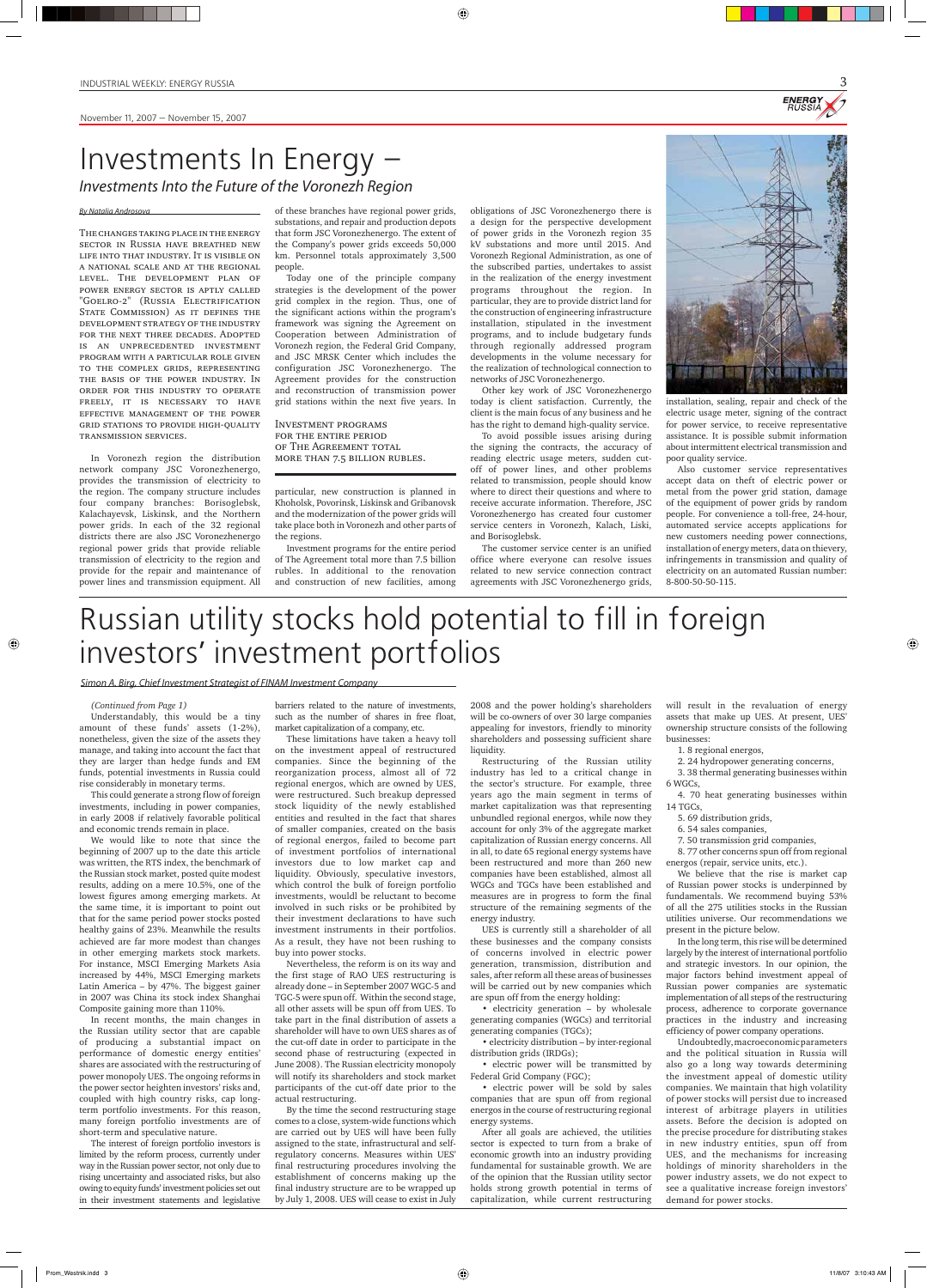**ENERGY** 

November 11, 2007 — November 15, 2007

#### *(Continued from Page 1)*

 $\bigcirc$ 

Understandably, this would be a tiny amount of these funds' assets (1-2%), nonetheless, given the size of the assets they manage, and taking into account the fact that they are larger than hedge funds and EM funds, potential investments in Russia could rise considerably in monetary terms.

This could generate a strong flow of foreign investments, including in power companies, in early 2008 if relatively favorable political and economic trends remain in place.

We would like to note that since the beginning of 2007 up to the date this article was written, the RTS index, the benchmark of the Russian stock market, posted quite modest results, adding on a mere 10.5%, one of the lowest figures among emerging markets. At the same time, it is important to point out that for the same period power stocks posted healthy gains of 23%. Meanwhile the results achieved are far more modest than changes in other emerging markets stock markets. For instance, MSCI Emerging Markets Asia increased by 44%, MSCI Emerging markets Latin America – by 47%. The biggest gainer in 2007 was China its stock index Shanghai Composite gaining more than 110%. In recent months, the main changes in the Russian utility sector that are capable of producing a substantial impact on performance of domestic energy entities' shares are associated with the restructuring of power monopoly UES. The ongoing reforms in the power sector heighten investors' risks and, coupled with high country risks, cap longterm portfolio investments. For this reason, many foreign portfolio investments are of short-term and speculative nature. The interest of foreign portfolio investors is limited by the reform process, currently under way in the Russian power sector, not only due to rising uncertainty and associated risks, but also owing to equity funds' investment policies set out in their investment statements and legislative

barriers related to the nature of investments, such as the number of shares in free float, market capitalization of a company, etc.

These limitations have taken a heavy toll on the investment appeal of restructured companies. Since the beginning of the reorganization process, almost all of 72 regional energos, which are owned by UES, were restructured. Such breakup depressed stock liquidity of the newly established entities and resulted in the fact that shares of smaller companies, created on the basis of regional energos, failed to become part of investment portfolios of international investors due to low market cap and liquidity. Obviously, speculative investors, which control the bulk of foreign portfolio investments, wouldl be reluctant to become involved in such risks or be prohibited by their investment declarations to have such investment instruments in their portfolios. As a result, they have not been rushing to buy into power stocks. Nevertheless, the reform is on its way and the first stage of RAO UES restructuring is already done – in September 2007 WGC-5 and TGC-5 were spun off. Within the second stage, all other assets will be spun off from UES. To take part in the final distribution of assets a shareholder will have to own UES shares as of the cut-off date in order to participate in the second phase of restructuring (expected in June 2008). The Russian electricity monopoly will notify its shareholders and stock market participants of the cut-off date prior to the actual restructuring. By the time the second restructuring stage comes to a close, system-wide functions which are carried out by UES will have been fully assigned to the state, infrastructural and selfregulatory concerns. Measures within UES' final restructuring procedures involving the establishment of concerns making up the final industry structure are to be wrapped up by July 1, 2008. UES will cease to exist in July

2008 and the power holding's shareholders will be co-owners of over 30 large companies appealing for investors, friendly to minority shareholders and possessing sufficient share liquidity.

Restructuring of the Russian utility industry has led to a critical change in the sector's structure. For example, three years ago the main segment in terms of market capitalization was that representing unbundled regional energos, while now they account for only 3% of the aggregate market capitalization of Russian energy concerns. All in all, to date 65 regional energy systems have been restructured and more than 260 new companies have been established, almost all WGCs and TGCs have been established and measures are in progress to form the final structure of the remaining segments of the

energy industry.

UES is currently still a shareholder of all these businesses and the company consists of concerns involved in electric power generation, transmission, distribution and sales, after reform all these areas of businesses will be carried out by new companies which are spun off from the energy holding:

• electricity generation – by wholesale generating companies (WGCs) and territorial generating companies (TGCs);

• electricity distribution – by inter-regional distribution grids (IRDGs);

• electric power will be transmitted by Federal Grid Company (FGC);

• electric power will be sold by sales companies that are spun off from regional energos in the course of restructuring regional energy systems.

After all goals are achieved, the utilities sector is expected to turn from a brake of economic growth into an industry providing fundamental for sustainable growth. We are of the opinion that the Russian utility sector holds strong growth potential in terms of capitalization, while current restructuring

will result in the revaluation of energy assets that make up UES. At present, UES' ownership structure consists of the following businesses:

⊕

1. 8 regional energos,

2. 24 hydropower generating concerns,

3. 38 thermal generating businesses within 6 WGCs,

4. 70 heat generating businesses within 14 TGCs,

- 5. 69 distribution grids,
- 6. 54 sales companies,

7. 50 transmission grid companies,

8. 77 other concerns spun off from regional energos (repair, service units, etc.).

We believe that the rise is market cap of Russian power stocks is underpinned by fundamentals. We recommend buying 53% of all the 275 utilities stocks in the Russian utilities universe. Our recommendations we present in the picture below. In the long term, this rise will be determined largely by the interest of international portfolio and strategic investors. In our opinion, the major factors behind investment appeal of Russian power companies are systematic implementation of all steps of the restructuring process, adherence to corporate governance practices in the industry and increasing efficiency of power company operations. Undoubtedly, macroeconomic parameters and the political situation in Russia will also go a long way towards determining the investment appeal of domestic utility companies. We maintain that high volatility of power stocks will persist due to increased interest of arbitrage players in utilities assets. Before the decision is adopted on the precise procedure for distributing stakes in new industry entities, spun off from UES, and the mechanisms for increasing holdings of minority shareholders in the power industry assets, we do not expect to see a qualitative increase foreign investors' demand for power stocks.

⊕

#### By Natalia Androsova

The changes taking place in the energy sector in Russia have breathed new life into that industry. It is visible on a national scale and at the regional level. The development plan of power energy sector is aptly called "Goelro-2" (Russia Electrification STATE COMMISSION) AS IT DEFINES THE development strategy of the industry for the next three decades. Adopted is an unprecedented investment program with a particular role given to the complex grids, representing the basis of the power industry. In order for this industry to operate freely, it is necessary to have effective management of the power grid stations to provide high-quality transmission services.

In Voronezh region the distribution network company JSC Voronezhenergo, provides the transmission of electricity to the region. The company structure includes four company branches: Borisoglebsk, Kalachayevsk, Liskinsk, and the Northern power grids. In each of the 32 regional districts there are also JSC Voronezhenergo regional power grids that provide reliable transmission of electricity to the region and provide for the repair and maintenance of power lines and transmission equipment. All of these branches have regional power grids, substations, and repair and production depots that form JSC Voronezhenergo. The extent of the Company's power grids exceeds 50,000 km. Personnel totals approximately 3,500 people.

Today one of the principle company strategies is the development of the power grid complex in the region. Thus, one of the significant actions within the program's framework was signing the Agreement on Cooperation between Administration of Voronezh region, the Federal Grid Company, and JSC MRSK Center which includes the configuration JSC Voronezhenergo. The Agreement provides for the construction and reconstruction of transmission power grid stations within the next five years. In

particular, new construction is planned in Khoholsk, Povorinsk, Liskinsk and Gribanovsk and the modernization of the power grids will take place both in Voronezh and other parts of the regions.

Investment programs for the entire period of The Agreement total more than 7.5 billion rubles. In additional to the renovation and construction of new facilities, among obligations of JSC Voronezhenergo there is a design for the perspective development of power grids in the Voronezh region 35 kV substations and more until 2015. And Voronezh Regional Administration, as one of the subscribed parties, undertakes to assist in the realization of the energy investment programs throughout the region. In particular, they are to provide district land for the construction of engineering infrastructure installation, stipulated in the investment programs, and to include budgetary funds through regionally addressed program developments in the volume necessary for the realization of technological connection to networks of JSC Voronezhenergo.

Other key work of JSC Voronezhenergo today is client satisfaction. Currently, the client is the main focus of any business and he has the right to demand high-quality service.

To avoid possible issues arising during the signing the contracts, the accuracy of reading electric usage meters, sudden cutoff of power lines, and other problems related to transmission, people should know where to direct their questions and where to receive accurate information. Therefore, JSC Voronezhenergo has created four customer service centers in Voronezh, Kalach, Liski, and Borisoglebsk.

The customer service center is an unified office where everyone can resolve issues related to new service connection contract agreements with JSC Voronezhenergo grids,



electric usage meter, signing of the contract for power service, to receive representative assistance. It is possible submit information about intermittent electrical transmission and poor quality service.

Also customer service representatives accept data on theft of electric power or metal from the power grid station, damage of the equipment of power grids by random people. For convenience a toll-free, 24-hour, automated service accepts applications for new customers needing power connections, installation of energy meters, data on thievery, infringements in transmission and quality of electricity on an automated Russian number: 8-800-50-50-115.

## Investments In Energy – Investments Into the Future of the Voronezh Region

Investment programs **FOR THE ENTIRE PERIOD** of The Agreement total more than 7.5 billion rubles.

# Russian utility stocks hold potential to fill in foreign investors' investment portfolios

#### Simon A. Birg, Chief Investment Strategist of FINAM Investment Company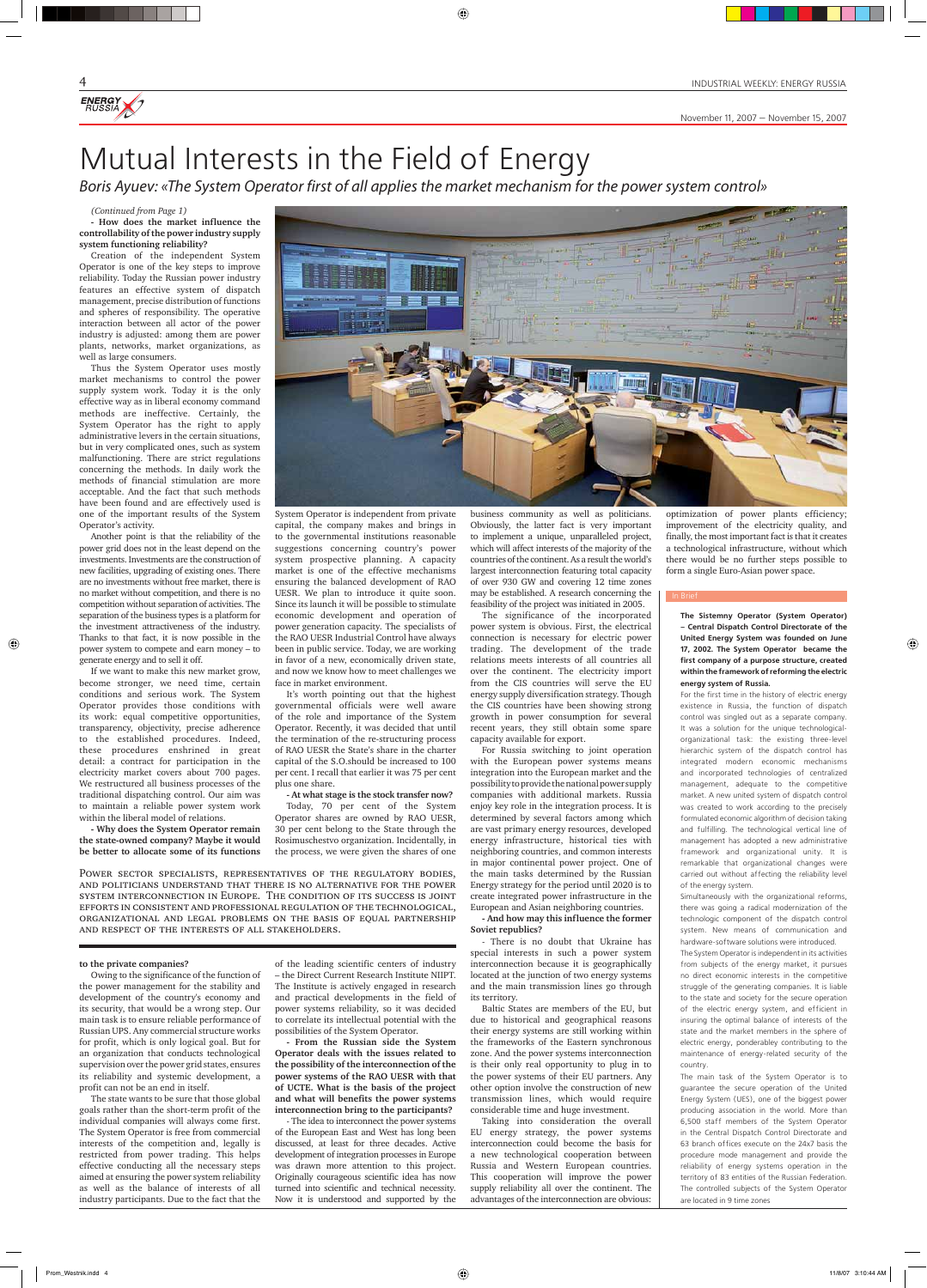*(Continued from Page 1)*

**- How does the market influence the controllability of the power industry supply system functioning reliability?**

Creation of the independent System Operator is one of the key steps to improve reliability. Today the Russian power industry features an effective system of dispatch management, precise distribution of functions and spheres of responsibility. The operative interaction between all actor of the power industry is adjusted: among them are power plants, networks, market organizations, as well as large consumers.

Thus the System Operator uses mostly market mechanisms to control the power supply system work. Today it is the only effective way as in liberal economy command methods are ineffective. Certainly, the System Operator has the right to apply administrative levers in the certain situations, but in very complicated ones, such as system malfunctioning. There are strict regulations concerning the methods. In daily work the methods of financial stimulation are more acceptable. And the fact that such methods have been found and are effectively used is one of the important results of the System Operator's activity.

Another point is that the reliability of the power grid does not in the least depend on the investments. Investments are the construction of new facilities, upgrading of existing ones. There are no investments without free market, there is no market without competition, and there is no competition without separation of activities. The separation of the business types is a platform for the investment attractiveness of the industry. Thanks to that fact, it is now possible in the power system to compete and earn money – to generate energy and to sell it off.

◈

If we want to make this new market grow, become stronger, we need time, certain conditions and serious work. The System Operator provides those conditions with its work: equal competitive opportunities, transparency, objectivity, precise adherence to the established procedures. Indeed, these procedures enshrined in great detail: a contract for participation in the electricity market covers about 700 pages. We restructured all business processes of the traditional dispatching control. Our aim was to maintain a reliable power system work within the liberal model of relations.

**- Why does the System Operator remain the state-owned company? Maybe it would be better to allocate some of its functions** 



#### **to the private companies?**

Owing to the significance of the function of the power management for the stability and development of the country's economy and its security, that would be a wrong step. Our main task is to ensure reliable performance of Russian UPS. Any commercial structure works for profit, which is only logical goal. But for an organization that conducts technological supervision over the power grid states, ensures its reliability and systemic development, a profit can not be an end in itself.

The state wants to be sure that those global goals rather than the short-term profit of the individual companies will always come first. The System Operator is free from commercial interests of the competition and, legally is restricted from power trading. This helps effective conducting all the necessary steps aimed at ensuring the power system reliability as well as the balance of interests of all industry participants. Due to the fact that the

System Operator is independent from private capital, the company makes and brings in to the governmental institutions reasonable suggestions concerning country's power system prospective planning. A capacity market is one of the effective mechanisms ensuring the balanced development of RAO UESR. We plan to introduce it quite soon. Since its launch it will be possible to stimulate economic development and operation of power generation capacity. The specialists of the RAO UESR Industrial Control have always been in public service. Today, we are working in favor of a new, economically driven state, and now we know how to meet challenges we face in market environment.

It's worth pointing out that the highest governmental officials were well aware of the role and importance of the System Operator. Recently, it was decided that until the termination of the re-structuring process of RAO UESR the State's share in the charter capital of the S.O.should be increased to 100 per cent. I recall that earlier it was 75 per cent plus one share.

**- At what stage is the stock transfer now?** Today, 70 per cent of the System Operator shares are owned by RAO UESR, 30 per cent belong to the State through the Rosimuschestvo organization. Incidentally, in the process, we were given the shares of one

of the leading scientific centers of industry – the Direct Current Research Institute NIIPT. The Institute is actively engaged in research and practical developments in the field of power systems reliability, so it was decided to correlate its intellectual potential with the possibilities of the System Operator.

**- From the Russian side the System Operator deals with the issues related to the possibility of the interconnection of the power systems of the RAO UESR with that of UCTE. What is the basis of the project and what will benefits the power systems interconnection bring to the participants?**

- The idea to interconnect the power systems of the European East and West has long been discussed, at least for three decades. Active development of integration processes in Europe was drawn more attention to this project. Originally courageous scientific idea has now turned into scientific and technical necessity. Now it is understood and supported by the

business community as well as politicians. Obviously, the latter fact is very important to implement a unique, unparalleled project, which will affect interests of the majority of the countries of the continent. As a result the world's largest interconnection featuring total capacity of over 930 GW and covering 12 time zones may be established. A research concerning the feasibility of the project was initiated in 2005.

The significance of the incorporated power system is obvious. First, the electrical connection is necessary for electric power trading. The development of the trade relations meets interests of all countries all over the continent. The electricity import from the CIS countries will serve the EU energy supply diversification strategy. Though the CIS countries have been showing strong growth in power consumption for several recent years, they still obtain some spare capacity available for export.

For Russia switching to joint operation with the European power systems means integration into the European market and the possibility to provide the national power supply companies with additional markets. Russia enjoy key role in the integration process. It is determined by several factors among which are vast primary energy resources, developed energy infrastructure, historical ties with neighboring countries, and common interests in major continental power project. One of the main tasks determined by the Russian Energy strategy for the period until 2020 is to create integrated power infrastructure in the European and Asian neighboring countries.

**- And how may this influence the former** 

**Soviet republics?**

- There is no doubt that Ukraine has special interests in such a power system interconnection because it is geographically located at the junction of two energy systems and the main transmission lines go through its territory.

Baltic States are members of the EU, but due to historical and geographical reasons their energy systems are still working within the frameworks of the Eastern synchronous zone. And the power systems interconnection is their only real opportunity to plug in to the power systems of their EU partners. Any other option involve the construction of new transmission lines, which would require considerable time and huge investment.

Taking into consideration the overall EU energy strategy, the power systems interconnection could become the basis for a new technological cooperation between Russia and Western European countries. This cooperation will improve the power supply reliability all over the continent. The advantages of the interconnection are obvious:

## Mutual Interests in the Field of Energy

Boris Ayuev: «The System Operator first of all applies the market mechanism for the power system control»

⊕

#### **The Sistemny Operator (System Operator) – Central Dispatch Control Directorate of the United Energy System was founded on June 17, 2002. The System Operator became the first company of a purpose structure, created within the framework of reforming the electric energy system of Russia.**

⊕

For the first time in the history of electric energy existence in Russia, the function of dispatch control was singled out as a separate company. It was a solution for the unique technologicalorganizational task: the existing three-level hierarchic system of the dispatch control has integrated modern economic mechanisms and incorporated technologies of centralized management, adequate to the competitive market. A new united system of dispatch control was created to work according to the precisely formulated economic algorithm of decision taking and fulfilling. The technological vertical line of management has adopted a new administrative framework and organizational unity. It is remarkable that organizational changes were carried out without affecting the reliability level of the energy system.

Simultaneously with the organizational reforms, there was going a radical modernization of the technologic component of the dispatch control system. New means of communication and hardware-software solutions were introduced. The System Operator is independent in its activities from subjects of the energy market, it pursues no direct economic interests in the competitive struggle of the generating companies. It is liable to the state and society for the secure operation of the electric energy system, and efficient in insuring the optimal balance of interests of the state and the market members in the sphere of electric energy, ponderabley contributing to the maintenance of energy-related security of the country. The main task of the System Operator is to guarantee the secure operation of the United Energy System (UES), one of the biggest power producing association in the world. More than 6,500 staff members of the System Operator in the Central Dispatch Control Directorate and 63 branch offices execute on the 24x7 basis the procedure mode management and provide the reliability of energy systems operation in the territory of 83 entities of the Russian Federation. The controlled subjects of the System Operator are located in 9 time zones

optimization of power plants efficiency; improvement of the electricity quality, and finally, the most important fact is that it creates a technological infrastructure, without which there would be no further steps possible to form a single Euro-Asian power space.

Power sector specialists, representatives of the regulatory bodies, and politicians understand that there is no alternative for the power system interconnection in Europe. The condition of its success is joint efforts in consistent and professional regulation of the technological, organizational and legal problems on the basis of equal partnership and respect of the interests of all stakeholders.

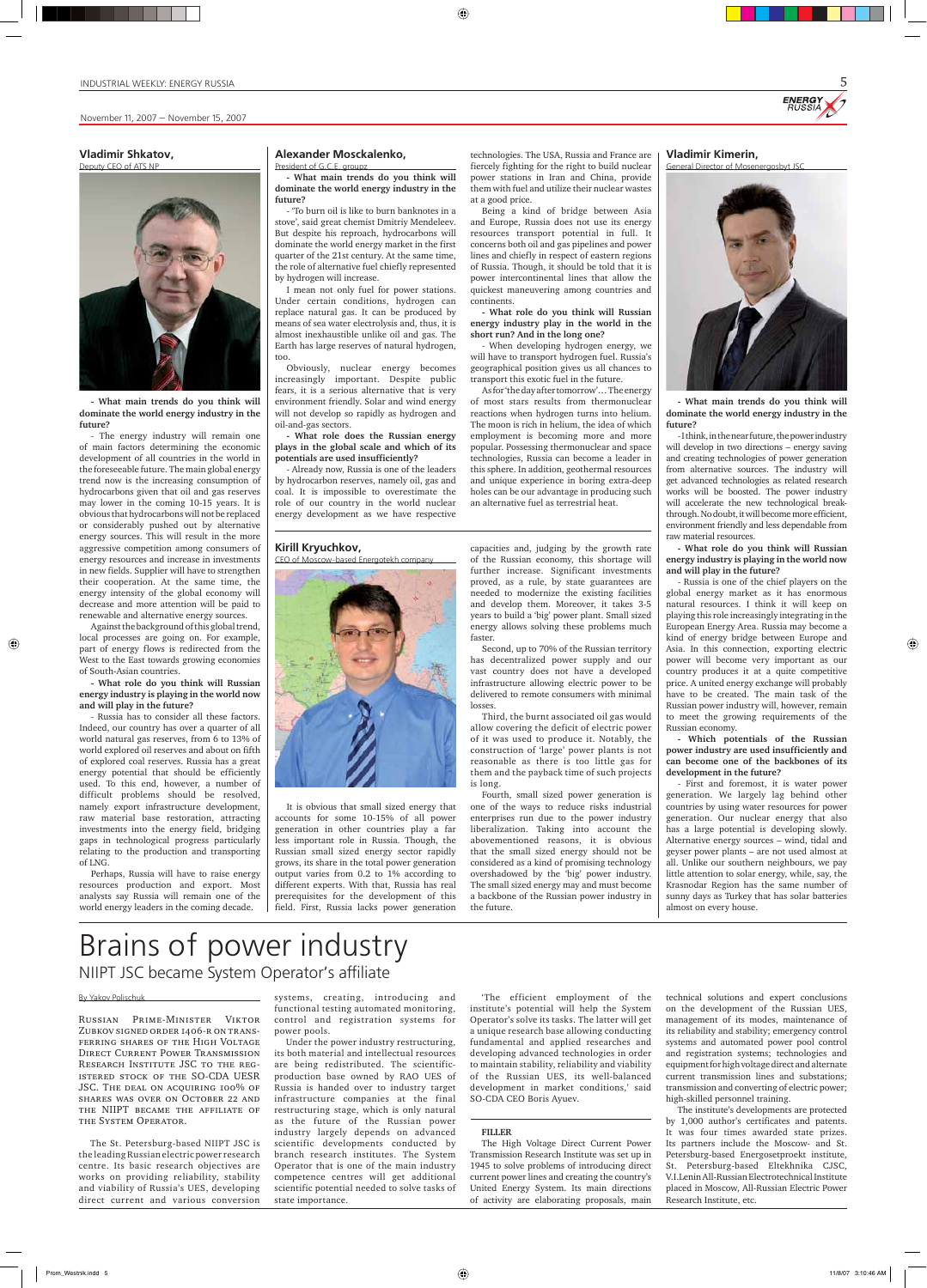**Vladimir Kimerin,**



**- What main trends do you think will dominate the world energy industry in the future?**

- I think, in the near future, the power industry will develop in two directions – energy saving and creating technologies of power generation from alternative sources. The industry will get advanced technologies as related research works will be boosted. The power industry will accelerate the new technological breakthrough. No doubt, it will become more efficient, environment friendly and less dependable from raw material resources.

**- What role do you think will Russian energy industry is playing in the world now and will play in the future?**

- Russia is one of the chief players on the global energy market as it has enormous natural resources. I think it will keep on playing this role increasingly integrating in the European Energy Area. Russia may become a kind of energy bridge between Europe and Asia. In this connection, exporting electric power will become very important as our country produces it at a quite competitive price. A united energy exchange will probably have to be created. The main task of the Russian power industry will, however, remain to meet the growing requirements of the Russian economy.

◈

**- Which potentials of the Russian power industry are used insufficiently and can become one of the backbones of its development in the future?**

- First and foremost, it is water power generation. We largely lag behind other countries by using water resources for power generation. Our nuclear energy that also has a large potential is developing slowly. Alternative energy sources – wind, tidal and geyser power plants – are not used almost at all. Unlike our southern neighbours, we pay little attention to solar energy, while, say, the Krasnodar Region has the same number of sunny days as Turkey that has solar batteries almost on every house.



⊕

#### By Yakov Polischuk

Russian Prime-Minister Viktor Zubkov signed order 1406-r on transferring shares of the High Voltage Direct Current Power Transmission Research Institute JSC to the registered stock of the SO-CDA UESR JSC. The deal on acquiring 100% of shares was over on October 22 and the NIIPT became the affiliate of the System Operator.

The St. Petersburg-based NIIPT JSC is the leading Russian electric power research centre. Its basic research objectives are works on providing reliability, stability and viability of Russia's UES, developing direct current and various conversion

systems, creating, introducing and functional testing automated monitoring, control and registration systems for power pools.

Under the power industry restructuring, its both material and intellectual resources are being redistributed. The scientificproduction base owned by RAO UES of Russia is handed over to industry target infrastructure companies at the final restructuring stage, which is only natural as the future of the Russian power industry largely depends on advanced scientific developments conducted by branch research institutes. The System Operator that is one of the main industry competence centres will get additional scientific potential needed to solve tasks of state importance.

'The efficient employment of the institute's potential will help the System Operator's solve its tasks. The latter will get a unique research base allowing conducting fundamental and applied researches and developing advanced technologies in order to maintain stability, reliability and viability of the Russian UES, its well-balanced development in market conditions,' said SO-CDA CEO Boris Ayuev.

#### **FILLER**

The High Voltage Direct Current Power Transmission Research Institute was set up in 1945 to solve problems of introducing direct current power lines and creating the country's United Energy System. Its main directions of activity are elaborating proposals, main

Russia has to consider all these factors. Indeed, our country has over a quarter of all world natural gas reserves, from 6 to 13% of world explored oil reserves and about on fifth of explored coal reserves. Russia has a great energy potential that should be efficiently used. To this end, however, a number of difficult problems should be resolved, namely export infrastructure development, raw material base restoration, attracting investments into the energy field, bridging gaps in technological progress particularly relating to the production and transporting of LNG.

> technical solutions and expert conclusions on the development of the Russian UES, management of its modes, maintenance of its reliability and stability; emergency control systems and automated power pool control and registration systems; technologies and equipment for high voltage direct and alternate current transmission lines and substations; transmission and converting of electric power; high-skilled personnel training.

> The institute's developments are protected by 1,000 author's certificates and patents. It was four times awarded state prizes. Its partners include the Moscow- and St. Petersburg-based Energosetproekt institute, St. Petersburg-based Eltekhnika CJSC, V.I.Lenin All-Russian Electrotechnical Institute placed in Moscow, All-Russian Electric Power Research Institute, etc.

## Brains of power industry NIIPT JSC became System Operator's affiliate

**Kirill Kryuchkov,**

CEO of Moscow-based Energotekh company

It is obvious that small sized energy that accounts for some 10-15% of all power generation in other countries play a far less important role in Russia. Though, the Russian small sized energy sector rapidly grows, its share in the total power generation output varies from 0.2 to 1% according to different experts. With that, Russia has real prerequisites for the development of this field. First, Russia lacks power generation

capacities and, judging by the growth rate of the Russian economy, this shortage will further increase. Significant investments proved, as a rule, by state guarantees are needed to modernize the existing facilities and develop them. Moreover, it takes 3-5 years to build a 'big' power plant. Small sized energy allows solving these problems much faster.

Second, up to 70% of the Russian territory has decentralized power supply and our vast country does not have a developed infrastructure allowing electric power to be delivered to remote consumers with minimal losses.

Third, the burnt associated oil gas would allow covering the deficit of electric power of it was used to produce it. Notably, the construction of 'large' power plants is not reasonable as there is too little gas for them and the payback time of such projects is long.

Fourth, small sized power generation is one of the ways to reduce risks industrial enterprises run due to the power industry liberalization. Taking into account the abovementioned reasons, it is obvious that the small sized energy should not be considered as a kind of promising technology overshadowed by the 'big' power industry. The small sized energy may and must become a backbone of the Russian power industry in the future.

#### **Vladimir Shkatov,** Deputy CEO of ATS NP



**- What main trends do you think will dominate the world energy industry in the future?**

- The energy industry will remain one of main factors determining the economic development of all countries in the world in the foreseeable future. The main global energy trend now is the increasing consumption of hydrocarbons given that oil and gas reserves may lower in the coming 10-15 years. It is obvious that hydrocarbons will not be replaced or considerably pushed out by alternative energy sources. This will result in the more aggressive competition among consumers of energy resources and increase in investments in new fields. Supplier will have to strengthen their cooperation. At the same time, the energy intensity of the global economy will decrease and more attention will be paid to renewable and alternative energy sources.

Against the background of this global trend, local processes are going on. For example, part of energy flows is redirected from the West to the East towards growing economies of South-Asian countries.

**- What role do you think will Russian energy industry is playing in the world now and will play in the future?**

Perhaps, Russia will have to raise energy resources production and export. Most analysts say Russia will remain one of the world energy leaders in the coming decade.

#### **Alexander Mosckalenko,** President of G.C.E. groupz

**- What main trends do you think will dominate the world energy industry in the future?**

- 'To burn oil is like to burn banknotes in a stove', said great chemist Dmitriy Mendeleev. But despite his reproach, hydrocarbons will dominate the world energy market in the first quarter of the 21st century. At the same time, the role of alternative fuel chiefly represented by hydrogen will increase.

I mean not only fuel for power stations. Under certain conditions, hydrogen can replace natural gas. It can be produced by means of sea water electrolysis and, thus, it is almost inexhaustible unlike oil and gas. The Earth has large reserves of natural hydrogen, too.

Obviously, nuclear energy becomes increasingly important. Despite public fears, it is a serious alternative that is very environment friendly. Solar and wind energy will not develop so rapidly as hydrogen and oil-and-gas sectors.

**- What role does the Russian energy plays in the global scale and which of its potentials are used insufficiently?**

- Already now, Russia is one of the leaders by hydrocarbon reserves, namely oil, gas and coal. It is impossible to overestimate the role of our country in the world nuclear energy development as we have respective

technologies. The USA, Russia and France are fiercely fighting for the right to build nuclear power stations in Iran and China, provide them with fuel and utilize their nuclear wastes at a good price.

Being a kind of bridge between Asia and Europe, Russia does not use its energy resources transport potential in full. It concerns both oil and gas pipelines and power lines and chiefly in respect of eastern regions of Russia. Though, it should be told that it is power intercontinental lines that allow the quickest maneuvering among countries and continents.

**- What role do you think will Russian energy industry play in the world in the short run? And in the long one?**

- When developing hydrogen energy, we will have to transport hydrogen fuel. Russia's geographical position gives us all chances to transport this exotic fuel in the future.

As for 'the day after tomorrow'… The energy of most stars results from thermonuclear reactions when hydrogen turns into helium. The moon is rich in helium, the idea of which employment is becoming more and more popular. Possessing thermonuclear and space technologies, Russia can become a leader in this sphere. In addition, geothermal resources and unique experience in boring extra-deep holes can be our advantage in producing such an alternative fuel as terrestrial heat.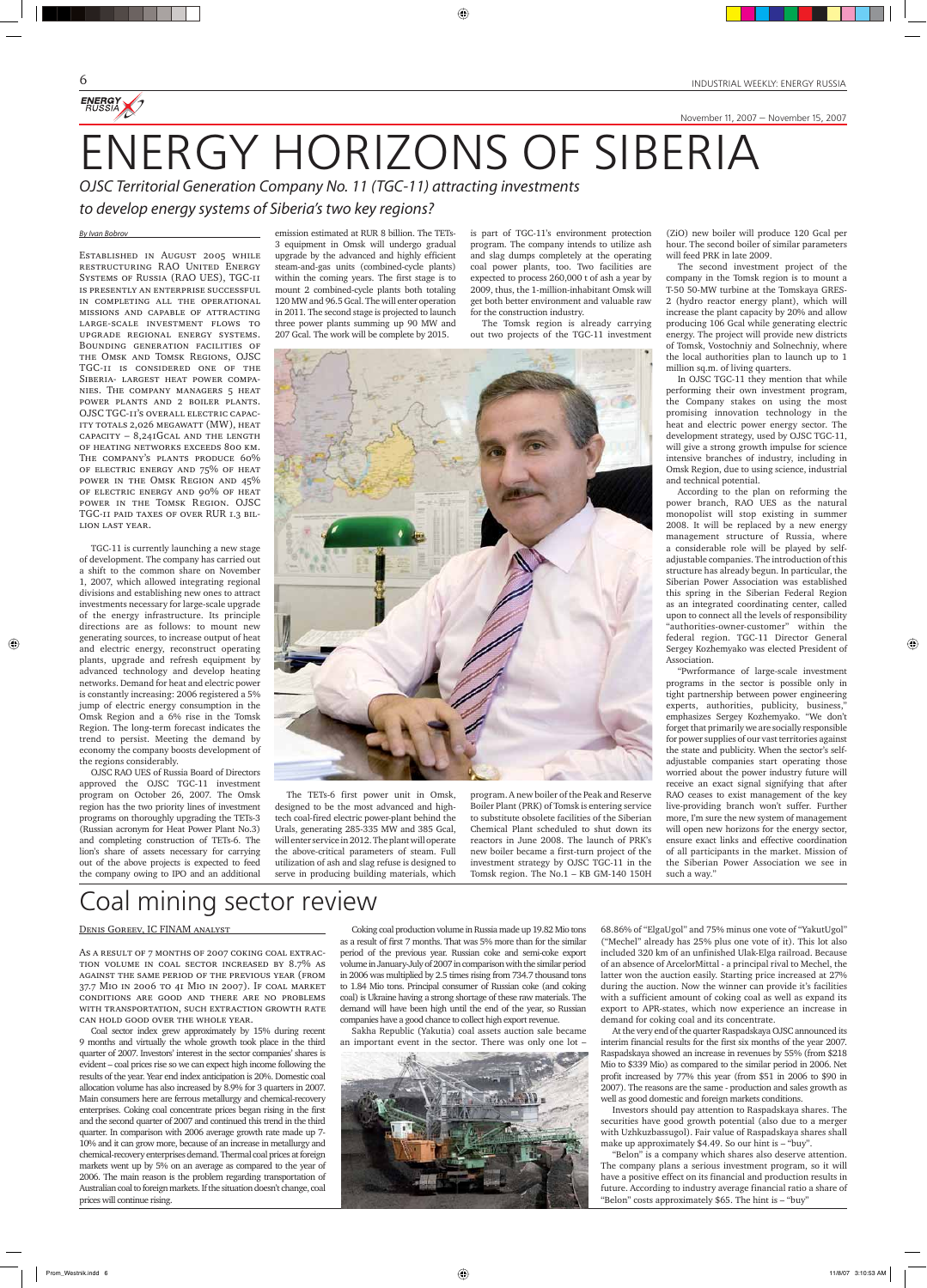November 11, 2007 — November 15, 2007

# ENERGY HORIZONS OF SIBERIA

⊕

OJSC Territorial Generation Company No. 11 (TGC-11) attracting investments

to develop energy systems of Siberia's two key regions?

#### By Ivan Bobrov

ENERGY

Established in August 2005 while restructuring RAO United Energy Systems of Russia (RAO UES), TGC-11 is presently an enterprise successful in completing all the operational missions and capable of attracting large-scale investment flows to upgrade regional energy systems. Bounding generation facilities of the Omsk and Tomsk Regions, OJSC TGC-11 is considered one of the Siberia- largest heat power companies. The company managers 5 heat power plants and 2 boiler plants. OJSC TGC-11's overall electric capacity totals 2,026 megawatt (MW), heat  $\overrightarrow{c}$  CAPACITY – 8,241GCAL AND THE LENGTH of heating networks exceeds 800 km. The company's plants produce 60% of electric energy and 75% of heat power in the Omsk Region and 45% of electric energy and 90% of heat power in the Tomsk Region. OJSC TGC-11 paid taxes of over RUR 1.3 billion last year.

TGC-11 is currently launching a new stage of development. The company has carried out a shift to the common share on November 1, 2007, which allowed integrating regional divisions and establishing new ones to attract investments necessary for large-scale upgrade of the energy infrastructure. Its principle directions are as follows: to mount new generating sources, to increase output of heat and electric energy, reconstruct operating plants, upgrade and refresh equipment by advanced technology and develop heating networks. Demand for heat and electric power is constantly increasing: 2006 registered a 5% jump of electric energy consumption in the Omsk Region and a 6% rise in the Tomsk Region. The long-term forecast indicates the trend to persist. Meeting the demand by economy the company boosts development of the regions considerably.

◈

OJSC RAO UES of Russia Board of Directors approved the OJSC TGC-11 investment program on October 26, 2007. The Omsk region has the two priority lines of investment programs on thoroughly upgrading the TETs-3 (Russian acronym for Heat Power Plant No.3) and completing construction of TETs-6. The lion's share of assets necessary for carrying out of the above projects is expected to feed the company owing to IPO and an additional

emission estimated at RUR 8 billion. The TETs-3 equipment in Omsk will undergo gradual upgrade by the advanced and highly efficient steam-and-gas units (combined-cycle plants) within the coming years. The first stage is to mount 2 combined-cycle plants both totaling 120 MW and 96.5 Gcal. The will enter operation in 2011. The second stage is projected to launch three power plants summing up 90 MW and 207 Gcal. The work will be complete by 2015.

The TETs-6 first power unit in Omsk, designed to be the most advanced and hightech coal-fired electric power-plant behind the Urals, generating 285-335 MW and 385 Gcal, will enter service in 2012. The plant will operate the above-critical parameters of steam. Full utilization of ash and slag refuse is designed to serve in producing building materials, which is part of TGC-11's environment protection program. The company intends to utilize ash and slag dumps completely at the operating coal power plants, too. Two facilities are expected to process 260,000 t of ash a year by 2009, thus, the 1-million-inhabitant Omsk will get both better environment and valuable raw for the construction industry.

As a result of 7 months of 2007 coking coal extraction volume in coal sector increased by 8.7% as against the same period of the previous year (from 37.7 Mio in 2006 to 41 Mio in 2007). If coal market conditions are good and there are no problems with transportation, such extraction growth rate can hold good over the whole year.

The Tomsk region is already carrying out two projects of the TGC-11 investment



program. A new boiler of the Peak and Reserve Boiler Plant (PRK) of Tomsk is entering service to substitute obsolete facilities of the Siberian Chemical Plant scheduled to shut down its reactors in June 2008. The launch of PRK's new boiler became a first-turn project of the investment strategy by OJSC TGC-11 in the Tomsk region. The No.1 – KB GM-140 150H

(ZiO) new boiler will produce 120 Gcal per hour. The second boiler of similar parameters will feed PRK in late 2009.

The second investment project of the company in the Tomsk region is to mount a T-50 50-MW turbine at the Tomskaya GRES-2 (hydro reactor energy plant), which will increase the plant capacity by 20% and allow producing 106 Gcal while generating electric energy. The project will provide new districts of Tomsk, Vostochniy and Solnechniy, where the local authorities plan to launch up to 1 million sq.m. of living quarters.

In OJSC TGC-11 they mention that while performing their own investment program, the Company stakes on using the most promising innovation technology in the heat and electric power energy sector. The development strategy, used by OJSC TGC-11, will give a strong growth impulse for science intensive branches of industry, including in Omsk Region, due to using science, industrial and technical potential.

According to the plan on reforming the power branch, RAO UES as the natural monopolist will stop existing in summer 2008. It will be replaced by a new energy management structure of Russia, where a considerable role will be played by selfadjustable companies. The introduction of this structure has already begun. In particular, the Siberian Power Association was established this spring in the Siberian Federal Region as an integrated coordinating center, called upon to connect all the levels of responsibility "authorities-owner-customer" within the federal region. TGC-11 Director General Sergey Kozhemyako was elected President of Association.

◈

"Pwrformance of large-scale investment programs in the sector is possible only in tight partnership between power engineering experts, authorities, publicity, business," emphasizes Sergey Kozhemyako. "We don't forget that primarily we are socially responsible for power supplies of our vast territories against the state and publicity. When the sector's selfadjustable companies start operating those worried about the power industry future will receive an exact signal signifying that after RAO ceases to exist management of the key live-providing branch won't suffer. Further more, I'm sure the new system of management will open new horizons for the energy sector, ensure exact links and effective coordination of all participants in the market. Mission of the Siberian Power Association we see in such a way."

Coal mining sector review

#### Denis Goreev, IC FINAM analyst

Coal sector index grew approximately by 15% during recent 9 months and virtually the whole growth took place in the third quarter of 2007. Investors' interest in the sector companies' shares is evident – coal prices rise so we can expect high income following the results of the year. Year end index anticipation is 20%. Domestic coal allocation volume has also increased by 8.9% for 3 quarters in 2007. Main consumers here are ferrous metallurgy and chemical-recovery enterprises. Coking coal concentrate prices began rising in the first and the second quarter of 2007 and continued this trend in the third quarter. In comparison with 2006 average growth rate made up 7- 10% and it can grow more, because of an increase in metallurgy and chemical-recovery enterprises demand. Thermal coal prices at foreign markets went up by 5% on an average as compared to the year of 2006. The main reason is the problem regarding transportation of Australian coal to foreign markets. If the situation doesn't change, coal prices will continue rising.

Coking coal production volume in Russia made up 19.82 Mio tons as a result of first 7 months. That was 5% more than for the similar period of the previous year. Russian coke and semi-coke export volume in January-July of 2007 in comparison with the similar period in 2006 was multiplied by 2.5 times rising from 734.7 thousand tons to 1.84 Mio tons. Principal consumer of Russian coke (and coking coal) is Ukraine having a strong shortage of these raw materials. The demand will have been high until the end of the year, so Russian companies have a good chance to collect high export revenue.

Sakha Republic (Yakutia) coal assets auction sale became an important event in the sector. There was only one lot –



68.86% of "ElgaUgol" and 75% minus one vote of "YakutUgol" ("Mechel" already has 25% plus one vote of it). This lot also included 320 km of an unfinished Ulak-Elga railroad. Because of an absence of ArcelorMittal - a principal rival to Mechel, the latter won the auction easily. Starting price increased at 27% during the auction. Now the winner can provide it's facilities with a sufficient amount of coking coal as well as expand its export to APR-states, which now experience an increase in demand for coking coal and its concentrate.

At the very end of the quarter Raspadskaya OJSC announced its interim financial results for the first six months of the year 2007. Raspadskaya showed an increase in revenues by 55% (from \$218 Mio to \$339 Mio) as compared to the similar period in 2006. Net profit increased by 77% this year (from \$51 in 2006 to \$90 in 2007). The reasons are the same - production and sales growth as well as good domestic and foreign markets conditions.

Investors should pay attention to Raspadskaya shares. The securities have good growth potential (also due to a merger with Uzhkuzbassugol). Fair value of Raspadskaya shares shall make up approximately \$4.49. So our hint is – "buy".

"Belon" is a company which shares also deserve attention. The company plans a serious investment program, so it will have a positive effect on its financial and production results in future. According to industry average financial ratio a share of "Belon" costs approximately \$65. The hint is – "buy"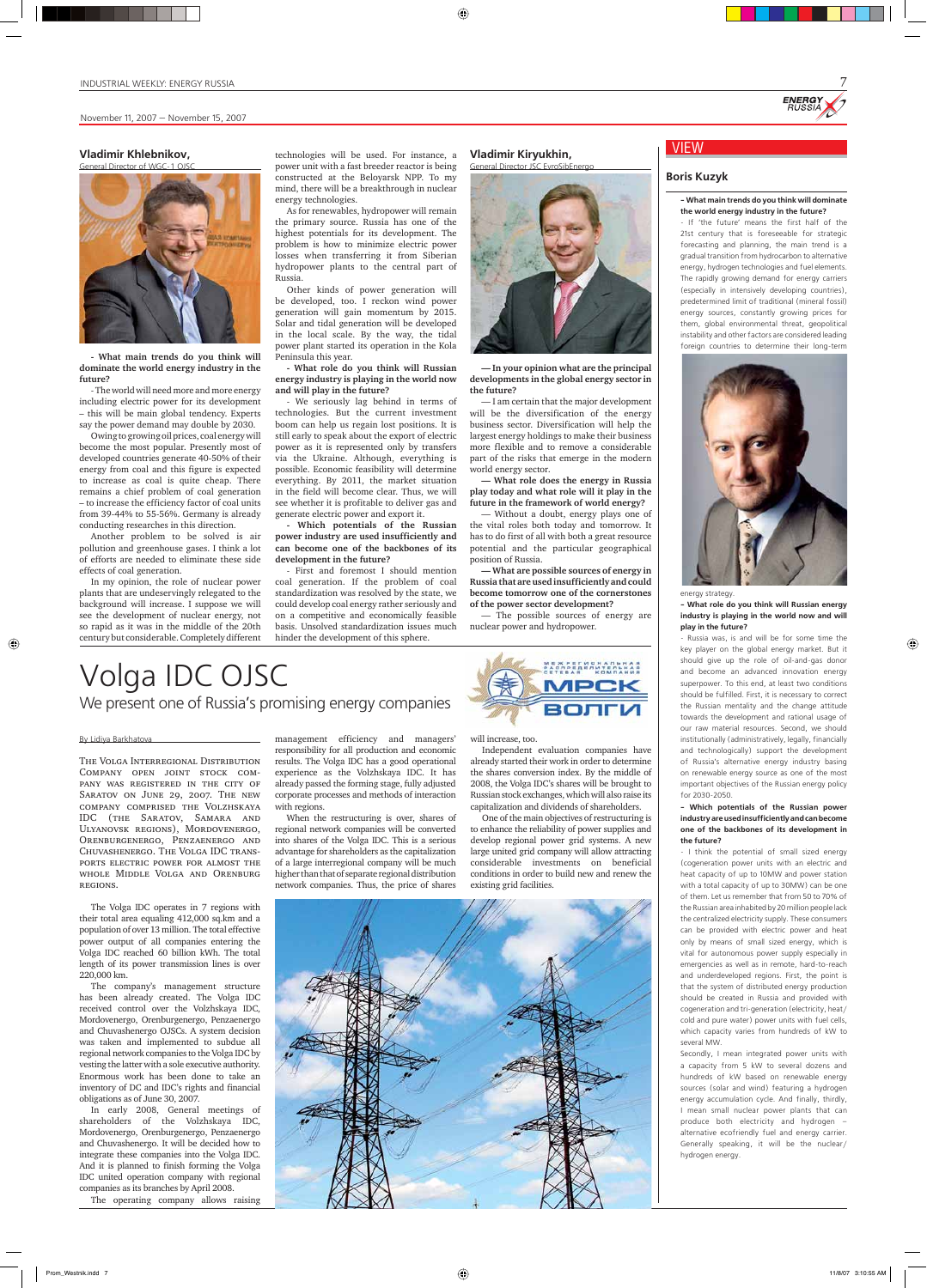#### By Lidiya Barkhatova

 $\bigcirc$ 

The Volga Interregional Distribution Company open joint stock company was registered in the city of SARATOV ON JUNE 29, 2007. THE NEW company comprised the Volzhskaya IDC (the Saratov, Samara and Ulyanovsk regions), Mordovenergo, Orenburgenergo, Penzaenergo and Chuvashenergo. The Volga IDC transports electric power for almost the whole Middle Volga and Orenburg regions.

The Volga IDC operates in 7 regions with their total area equaling 412,000 sq.km and a population of over 13 million. The total effective power output of all companies entering the Volga IDC reached 60 billion kWh. The total length of its power transmission lines is over 220,000 km. The company's management structure has been already created. The Volga IDC received control over the Volzhskaya IDC, Mordovenergo, Orenburgenergo, Penzaenergo and Chuvashenergo OJSCs. A system decision was taken and implemented to subdue all regional network companies to the Volga IDC by vesting the latter with a sole executive authority. Enormous work has been done to take an inventory of DC and IDC's rights and financial obligations as of June 30, 2007.

In early 2008, General meetings of shareholders of the Volzhskaya IDC, Mordovenergo, Orenburgenergo, Penzaenergo and Chuvashenergo. It will be decided how to integrate these companies into the Volga IDC. And it is planned to finish forming the Volga IDC united operation company with regional companies as its branches by April 2008.

The operating company allows raising



management efficiency and managers' responsibility for all production and economic results. The Volga IDC has a good operational experience as the Volzhskaya IDC. It has already passed the forming stage, fully adjusted corporate processes and methods of interaction with regions.

When the restructuring is over, shares of regional network companies will be converted into shares of the Volga IDC. This is a serious advantage for shareholders as the capitalization of a large interregional company will be much higher than that of separate regional distribution network companies. Thus, the price of shares

#### will increase, too.

Independent evaluation companies have already started their work in order to determine the shares conversion index. By the middle of 2008, the Volga IDC's shares will be brought to Russian stock exchanges, which will also raise its capitalization and dividends of shareholders.

One of the main objectives of restructuring is to enhance the reliability of power supplies and develop regional power grid systems. A new large united grid company will allow attracting considerable investments on beneficial conditions in order to build new and renew the existing grid facilities.

# **ENERG**

7

## Volga IDC OJSC We present one of Russia's promising energy companies

VIEW

#### **Boris Kuzyk**

#### **- What main trends do you think will dominate the world energy industry in the future?**

- If 'the future' means the first half of the 21st century that is foreseeable for strategic forecasting and planning, the main trend is a gradual transition from hydrocarbon to alternative energy, hydrogen technologies and fuel elements. The rapidly growing demand for energy carriers (especially in intensively developing countries), predetermined limit of traditional (mineral fossil) energy sources, constantly growing prices for them, global environmental threat, geopolitical instability and other factors are considered leading foreign countries to determine their long-term



energy strategy.

#### **- What role do you think will Russian energy industry is playing in the world now and will play in the future?**

◈

- Russia was, is and will be for some time the key player on the global energy market. But it should give up the role of oil-and-gas donor and become an advanced innovation energy superpower. To this end, at least two conditions should be fulfilled. First, it is necessary to correct the Russian mentality and the change attitude towards the development and rational usage of our raw material resources. Second, we should institutionally (administratively, legally, financially and technologically) support the development of Russia's alternative energy industry basing on renewable energy source as one of the most important objectives of the Russian energy policy for 2030-2050.

#### **- Which potentials of the Russian power industry are used insufficiently and can become one of the backbones of its development in the future?**

- I think the potential of small sized energy (cogeneration power units with an electric and heat capacity of up to 10MW and power station with a total capacity of up to 30MW) can be one of them. Let us remember that from 50 to 70% of the Russian area inhabited by 20 million people lack the centralized electricity supply. These consumers can be provided with electric power and heat only by means of small sized energy, which is vital for autonomous power supply especially in emergencies as well as in remote, hard-to-reach and underdeveloped regions. First, the point is that the system of distributed energy production should be created in Russia and provided with cogeneration and tri-generation (electricity, heat/ cold and pure water) power units with fuel cells, which capacity varies from hundreds of kW to several MW. Secondly, I mean integrated power units with a capacity from 5 kW to several dozens and hundreds of kW based on renewable energy sources (solar and wind) featuring a hydrogen energy accumulation cycle. And finally, thirdly, I mean small nuclear power plants that can produce both electricity and hydrogen – alternative ecofriendly fuel and energy carrier. Generally speaking, it will be the nuclear/ hydrogen energy.

#### **Vladimir Khlebnikov,**



**- What main trends do you think will dominate the world energy industry in the future?**

- The world will need more and more energy including electric power for its development – this will be main global tendency. Experts say the power demand may double by 2030.

Owing to growing oil prices, coal energy will become the most popular. Presently most of developed countries generate 40-50% of their energy from coal and this figure is expected to increase as coal is quite cheap. There remains a chief problem of coal generation – to increase the efficiency factor of coal units from 39-44% to 55-56%. Germany is already conducting researches in this direction.

Another problem to be solved is air pollution and greenhouse gases. I think a lot of efforts are needed to eliminate these side effects of coal generation.

In my opinion, the role of nuclear power plants that are undeservingly relegated to the background will increase. I suppose we will see the development of nuclear energy, not so rapid as it was in the middle of the 20th century but considerable. Completely different technologies will be used. For instance, a power unit with a fast breeder reactor is being constructed at the Beloyarsk NPP. To my mind, there will be a breakthrough in nuclear energy technologies.

As for renewables, hydropower will remain the primary source. Russia has one of the highest potentials for its development. The problem is how to minimize electric power losses when transferring it from Siberian hydropower plants to the central part of Russia.

Other kinds of power generation will be developed, too. I reckon wind power generation will gain momentum by 2015. Solar and tidal generation will be developed in the local scale. By the way, the tidal power plant started its operation in the Kola Peninsula this year.

**- What role do you think will Russian energy industry is playing in the world now and will play in the future?**

- We seriously lag behind in terms of technologies. But the current investment boom can help us regain lost positions. It is still early to speak about the export of electric power as it is represented only by transfers via the Ukraine. Although, everything is possible. Economic feasibility will determine everything. By 2011, the market situation in the field will become clear. Thus, we will see whether it is profitable to deliver gas and generate electric power and export it.

**- Which potentials of the Russian power industry are used insufficiently and can become one of the backbones of its development in the future?**

- First and foremost I should mention coal generation. If the problem of coal standardization was resolved by the state, we could develop coal energy rather seriously and on a competitive and economically feasible basis. Unsolved standardization issues much hinder the development of this sphere.

**Vladimir Kiryukhin,** 

⊕



**— In your opinion what are the principal developments in the global energy sector in the future?** 

— I am certain that the major development will be the diversification of the energy business sector. Diversification will help the largest energy holdings to make their business more flexible and to remove a considerable part of the risks that emerge in the modern world energy sector.

**— What role does the energy in Russia play today and what role will it play in the future in the framework of world energy?**

— Without a doubt, energy plays one of the vital roles both today and tomorrow. It has to do first of all with both a great resource potential and the particular geographical position of Russia.

**— What are possible sources of energy in Russia that are used insufficiently and could become tomorrow one of the cornerstones of the power sector development?**

— The possible sources of energy are nuclear power and hydropower.

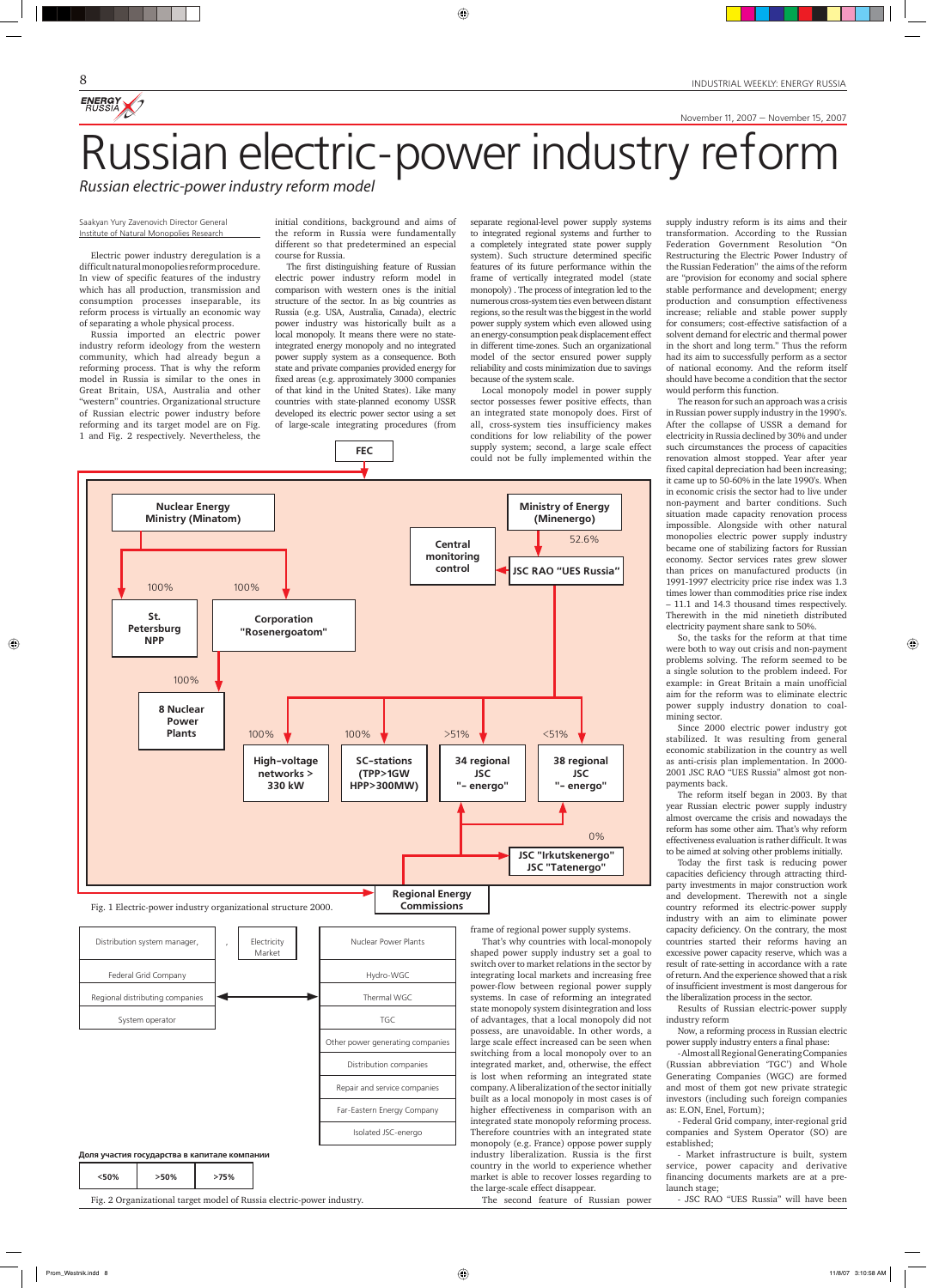INDUSTRIAL WEEKLY: ENERGY RUSSIA

November 11, 2007 — November 15, 2007

Russian electric-power industry reform model<br>Russian electric-power industry reform model

 $\bigoplus$ 

#### Saakyan Yury Zavenovich Director General Institute of Natural Monopolies Research

8

ENERGY

Electric power industry deregulation is a difficult natural monopolies reform procedure. In view of specific features of the industry which has all production, transmission and consumption processes inseparable, its reform process is virtually an economic way of separating a whole physical process.

Russia imported an electric power industry reform ideology from the western community, which had already begun a reforming process. That is why the reform model in Russia is similar to the ones in Great Britain, USA, Australia and other "western" countries. Organizational structure of Russian electric power industry before reforming and its target model are on Fig. 1 and Fig. 2 respectively. Nevertheless, the

**Ministry of Energy (Minenergo) Central monitoring control JSC RAO "UES Russia" St. Petersburg NPP Corporation "Rosenergoatom" 8 Nuclear Power Plants High-voltage networks > 330 kW SC-stations (TPP>1GW HPP>300MW) 34 regional JSC "- energo" 38 regional JSC "- energo" JSC "Irkutskenergo" JSC "Tatenergo" Regional Energy Nuclear Energy Ministry (Minatom)** 52.6% 100% 100% 100% **100% 100% 100% 100%**  $\times$  51% **100%**  $\times$  51% 0% 100%

**Commissions**

**FEC**

Fig. 1 Electric-power industry organizational structure 2000.



| <50% | $>50\%$ | >75% |
|------|---------|------|
|------|---------|------|

Fig. 2 Organizational target model of Russia electric-power industry.

initial conditions, background and aims of the reform in Russia were fundamentally different so that predetermined an especial course for Russia.

The first distinguishing feature of Russian electric power industry reform model in comparison with western ones is the initial structure of the sector. In as big countries as Russia (e.g. USA, Australia, Canada), electric power industry was historically built as a local monopoly. It means there were no stateintegrated energy monopoly and no integrated power supply system as a consequence. Both state and private companies provided energy for fixed areas (e.g. approximately 3000 companies of that kind in the United States). Like many countries with state-planned economy USSR developed its electric power sector using a set of large-scale integrating procedures (from

separate regional-level power supply systems to integrated regional systems and further to a completely integrated state power supply system). Such structure determined specific features of its future performance within the frame of vertically integrated model (state monopoly) . The process of integration led to the numerous cross-system ties even between distant regions, so the result was the biggest in the world power supply system which even allowed using an energy-consumption peak displacement effect in different time-zones. Such an organizational model of the sector ensured power supply reliability and costs minimization due to savings because of the system scale.

Local monopoly model in power supply sector possesses fewer positive effects, than an integrated state monopoly does. First of all, cross-system ties insufficiency makes conditions for low reliability of the power supply system; second, a large scale effect could not be fully implemented within the

frame of regional power supply systems.

That's why countries with local-monopoly shaped power supply industry set a goal to switch over to market relations in the sector by integrating local markets and increasing free power-flow between regional power supply systems. In case of reforming an integrated state monopoly system disintegration and loss of advantages, that a local monopoly did not possess, are unavoidable. In other words, a large scale effect increased can be seen when switching from a local monopoly over to an integrated market, and, otherwise, the effect is lost when reforming an integrated state company. A liberalization of the sector initially built as a local monopoly in most cases is of higher effectiveness in comparison with an integrated state monopoly reforming process. Therefore countries with an integrated state monopoly (e.g. France) oppose power supply industry liberalization. Russia is the first country in the world to experience whether market is able to recover losses regarding to the large-scale effect disappear.

The second feature of Russian power

supply industry reform is its aims and their transformation. According to the Russian Federation Government Resolution "On Restructuring the Electric Power Industry of the Russian Federation" the aims of the reform are "provision for economy and social sphere stable performance and development; energy production and consumption effectiveness increase; reliable and stable power supply for consumers; cost-effective satisfaction of a solvent demand for electric and thermal power in the short and long term." Thus the reform had its aim to successfully perform as a sector of national economy. And the reform itself should have become a condition that the sector would perform this function.

The reason for such an approach was a crisis in Russian power supply industry in the 1990's. After the collapse of USSR a demand for electricity in Russia declined by 30% and under such circumstances the process of capacities renovation almost stopped. Year after year fixed capital depreciation had been increasing; it came up to 50-60% in the late 1990's. When in economic crisis the sector had to live under non-payment and barter conditions. Such situation made capacity renovation process impossible. Alongside with other natural monopolies electric power supply industry became one of stabilizing factors for Russian economy. Sector services rates grew slower than prices on manufactured products (in 1991-1997 electricity price rise index was 1.3 times lower than commodities price rise index – 11.1 and 14.3 thousand times respectively. Therewith in the mid ninetieth distributed electricity payment share sank to 50%.

So, the tasks for the reform at that time were both to way out crisis and non-payment problems solving. The reform seemed to be a single solution to the problem indeed. For example: in Great Britain a main unofficial aim for the reform was to eliminate electric power supply industry donation to coalmining sector.

◈

Since 2000 electric power industry got stabilized. It was resulting from general economic stabilization in the country as well as anti-crisis plan implementation. In 2000- 2001 JSC RAO "UES Russia" almost got nonpayments back.

The reform itself began in 2003. By that year Russian electric power supply industry almost overcame the crisis and nowadays the reform has some other aim. That's why reform effectiveness evaluation is rather difficult. It was to be aimed at solving other problems initially.

Today the first task is reducing power capacities deficiency through attracting thirdparty investments in major construction work and development. Therewith not a single country reformed its electric-power supply industry with an aim to eliminate power capacity deficiency. On the contrary, the most countries started their reforms having an excessive power capacity reserve, which was a result of rate-setting in accordance with a rate of return. And the experience showed that a risk of insufficient investment is most dangerous for the liberalization process in the sector.

◈

Results of Russian electric-power supply industry reform

Now, a reforming process in Russian electric power supply industry enters a final phase:

- Almost all Regional Generating Companies (Russian abbreviation 'TGC') and Whole Generating Companies (WGC) are formed and most of them got new private strategic investors (including such foreign companies as: E.ON, Enel, Fortum);

- Federal Grid company, inter-regional grid companies and System Operator (SO) are established;

- Market infrastructure is built, system service, power capacity and derivative financing documents markets are at a prelaunch stage;

- JSC RAO "UES Russia" will have been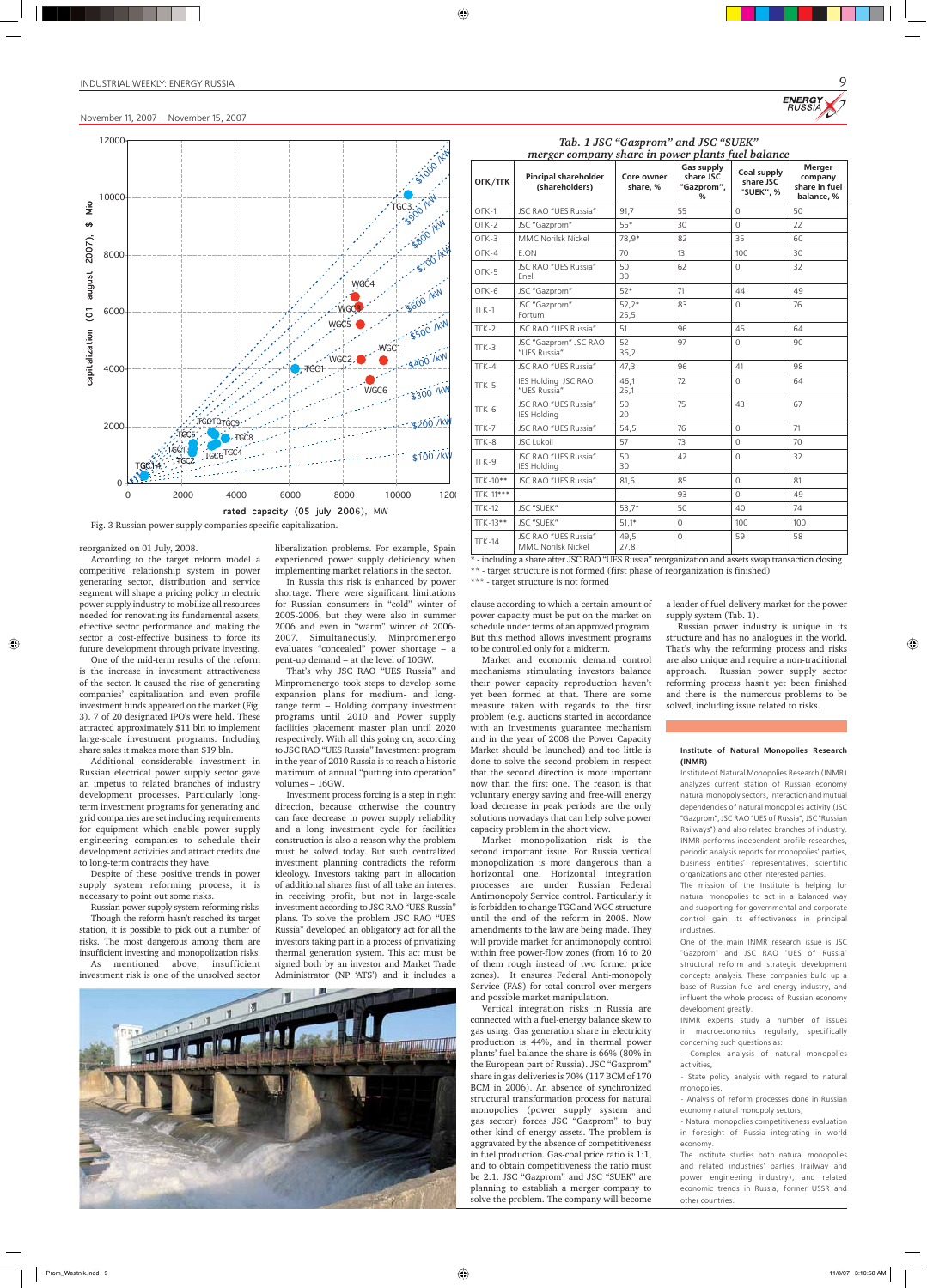#### INDUSTRIAL WEEKLY: ENERGY RUSSIA

#### reorganized on 01 July, 2008.

◈

According to the target reform model a competitive relationship system in power generating sector, distribution and service segment will shape a pricing policy in electric power supply industry to mobilize all resources needed for renovating its fundamental assets, effective sector performance and making the sector a cost-effective business to force its future development through private investing.

One of the mid-term results of the reform is the increase in investment attractiveness of the sector. It caused the rise of generating companies' capitalization and even profile investment funds appeared on the market (Fig. 3). 7 of 20 designated IPO's were held. These attracted approximately \$11 bln to implement large-scale investment programs. Including share sales it makes more than \$19 bln.

Additional considerable investment in Russian electrical power supply sector gave an impetus to related branches of industry development processes. Particularly longterm investment programs for generating and grid companies are set including requirements for equipment which enable power supply engineering companies to schedule their development activities and attract credits due to long-term contracts they have.

Despite of these positive trends in power supply system reforming process, it is necessary to point out some risks.

Russian power supply system reforming risks

Though the reform hasn't reached its target station, it is possible to pick out a number of risks. The most dangerous among them are insufficient investing and monopolization risks. As mentioned above, insufficient investment risk is one of the unsolved sector



- including a share after JSC RAO "UES Russia" reorganization and assets swap transaction closing \*\* - target structure is not formed (first phase of reorganization is finished)



| OFK/TFK            | <b>Pincipal shareholder</b><br>(shareholders)     | Core owner<br>share, % | <b>Gas supply</b><br>share JSC<br>"Gazprom",<br>% | Coal supply<br>share JSC<br>"SUEK", % | <b>Merger</b><br>company<br>share in fuel<br>balance, % |
|--------------------|---------------------------------------------------|------------------------|---------------------------------------------------|---------------------------------------|---------------------------------------------------------|
| OFK-1              | JSC RAO "UES Russia"                              | 91,7                   | 55                                                | $\Omega$                              | 50                                                      |
| $OFK-2$            | JSC "Gazprom"                                     | 55*                    | 30                                                | $\Omega$                              | 22                                                      |
| $OFK-3$            | <b>MMC Norilsk Nickel</b>                         | 78,9*                  | 82                                                | 35                                    | 60                                                      |
| OFK-4              | E.ON                                              | 70                     | 13                                                | 100                                   | 30                                                      |
| OFK-5              | <b>JSC RAO "UES Russia"</b><br>Enel               | 50<br>30               | 62                                                | $\Omega$                              | 32                                                      |
| OFK-6              | JSC "Gazprom"                                     | $52*$                  | 71                                                | 44                                    | 49                                                      |
| $TTK-1$            | JSC "Gazprom"<br>Fortum                           | $52,2*$<br>25,5        | 83                                                | $\Omega$                              | 76                                                      |
| $TK-2$             | JSC RAO "UES Russia"                              | 51                     | 96                                                | 45                                    | 64                                                      |
| $TTK-3$            | JSC "Gazprom" JSC RAO<br>"UES Russia"             | 52<br>36,2             | 97                                                | $\Omega$                              | 90                                                      |
| $TFK-4$            | JSC RAO "UES Russia"                              | 47,3                   | 96                                                | 41                                    | 98                                                      |
| $TFK-5$            | IES Holding JSC RAO<br>"UES Russia"               | 46,1<br>25,1           | 72                                                | $\Omega$                              | 64                                                      |
| TTK-6              | <b>JSC RAO "UES Russia"</b><br><b>IES Holding</b> | 50<br>20               | 75                                                | 43                                    | 67                                                      |
| $TFK-7$            | JSC RAO "UES Russia"                              | 54,5                   | 76                                                | $\Omega$                              | 71                                                      |
| T <sub>F</sub> K-8 | <b>JSC Lukoil</b>                                 | 57                     | 73                                                | $\Omega$                              | 70                                                      |
| T <sub>F</sub> K-9 | <b>JSC RAO "UES Russia"</b><br><b>IES Holding</b> | 50<br>30               | 42                                                | $\Omega$                              | 32                                                      |
| TFK-10**           | <b>JSC RAO "UES Russia"</b>                       | 81,6                   | 85                                                | $\mathbf{0}$                          | 81                                                      |
| TFK-11***          |                                                   |                        | 93                                                | $\Omega$                              | 49                                                      |
| $TFK-12$           | JSC "SUEK"                                        | $53,7*$                | 50                                                | 40                                    | 74                                                      |
| $TFK-13**$         | JSC "SUEK"                                        | $51,1*$                | $\Omega$                                          | 100                                   | 100                                                     |
| <b>TFK-14</b>      | JSC RAO "UES Russia"<br><b>MMC Norilsk Nickel</b> | 49,5<br>27,8           | $\Omega$                                          | 59                                    | 58                                                      |

*Tab. 1 JSC "Gazprom" and JSC "SUEK" merger company share in power plants fuel balance*

\*\*\* - target structure is not formed

liberalization problems. For example, Spain experienced power supply deficiency when implementing market relations in the sector.

In Russia this risk is enhanced by power shortage. There were significant limitations for Russian consumers in "cold" winter of 2005-2006, but they were also in summer 2006 and even in "warm" winter of 2006- 2007. Simultaneously, Minpromenergo evaluates "concealed" power shortage – a pent-up demand – at the level of 10GW.

That's why JSC RAO "UES Russia" and Minpromenergo took steps to develop some expansion plans for medium- and longrange term – Holding company investment programs until 2010 and Power supply facilities placement master plan until 2020 respectively. With all this going on, according to JSC RAO "UES Russia" Investment program in the year of 2010 Russia is to reach a historic maximum of annual "putting into operation" volumes – 16GW.

Investment process forcing is a step in right direction, because otherwise the country can face decrease in power supply reliability and a long investment cycle for facilities construction is also a reason why the problem must be solved today. But such centralized investment planning contradicts the reform ideology. Investors taking part in allocation of additional shares first of all take an interest in receiving profit, but not in large-scale investment according to JSC RAO "UES Russia" plans. To solve the problem JSC RAO "UES Russia" developed an obligatory act for all the investors taking part in a process of privatizing thermal generation system. This act must be signed both by an investor and Market Trade Administrator (NP 'ATS') and it includes a

clause according to which a certain amount of power capacity must be put on the market on schedule under terms of an approved program. But this method allows investment programs to be controlled only for a midterm.

Market and economic demand control mechanisms stimulating investors balance their power capacity reproduction haven't yet been formed at that. There are some measure taken with regards to the first problem (e.g. auctions started in accordance with an Investments guarantee mechanism and in the year of 2008 the Power Capacity Market should be launched) and too little is done to solve the second problem in respect that the second direction is more important now than the first one. The reason is that voluntary energy saving and free-will energy load decrease in peak periods are the only solutions nowadays that can help solve power capacity problem in the short view.

Market monopolization risk is the second important issue. For Russia vertical monopolization is more dangerous than a horizontal one. Horizontal integration processes are under Russian Federal Antimonopoly Service control. Particularly it is forbidden to change TGC and WGC structure until the end of the reform in 2008. Now amendments to the law are being made. They will provide market for antimonopoly control within free power-flow zones (from 16 to 20 of them rough instead of two former price zones). It ensures Federal Anti-monopoly Service (FAS) for total control over mergers and possible market manipulation. Vertical integration risks in Russia are connected with a fuel-energy balance skew to gas using. Gas generation share in electricity production is 44%, and in thermal power plants' fuel balance the share is 66% (80% in the European part of Russia). JSC "Gazprom" share in gas deliveries is 70% (117 BCM of 170 BCM in 2006). An absence of synchronized structural transformation process for natural monopolies (power supply system and gas sector) forces JSC "Gazprom" to buy other kind of energy assets. The problem is aggravated by the absence of competitiveness in fuel production. Gas-coal price ratio is 1:1, and to obtain competitiveness the ratio must be 2:1. JSC "Gazprom" and JSC "SUEK" are planning to establish a merger company to solve the problem. The company will become

#### **Institute of Natural Monopolies Research (INMR)**

Institute of Natural Monopolies Research (INMR) analyzes current station of Russian economy natural monopoly sectors, interaction and mutual dependencies of natural monopolies activity (JSC "Gazprom", JSC RAO "UES of Russia", JSC "Russian Railways") and also related branches of industry. INMR performs independent profile researches, periodic analysis reports for monopolies' parties, business entities' representatives, scientific organizations and other interested parties.

The mission of the Institute is helping for natural monopolies to act in a balanced way and supporting for governmental and corporate control gain its effectiveness in principal industries.





◈

One of the main INMR research issue is JSC "Gazprom" and JSC RAO "UES of Russia" structural reform and strategic development concepts analysis. These companies build up a base of Russian fuel and energy industry, and influent the whole process of Russian economy development greatly.

INMR experts study a number of issues in macroeconomics regularly, specifically concerning such questions as:

- Complex analysis of natural monopolies activities,

- State policy analysis with regard to natural monopolies,

- Analysis of reform processes done in Russian economy natural monopoly sectors,

- Natural monopolies competitiveness evaluation in foresight of Russia integrating in world economy.

The Institute studies both natural monopolies and related industries' parties (railway and power engineering industry), and related economic trends in Russia, former USSR and other countries.

a leader of fuel-delivery market for the power supply system (Tab. 1).

Russian power industry is unique in its structure and has no analogues in the world. That's why the reforming process and risks are also unique and require a non-traditional approach. Russian power supply sector reforming process hasn't yet been finished and there is the numerous problems to be solved, including issue related to risks.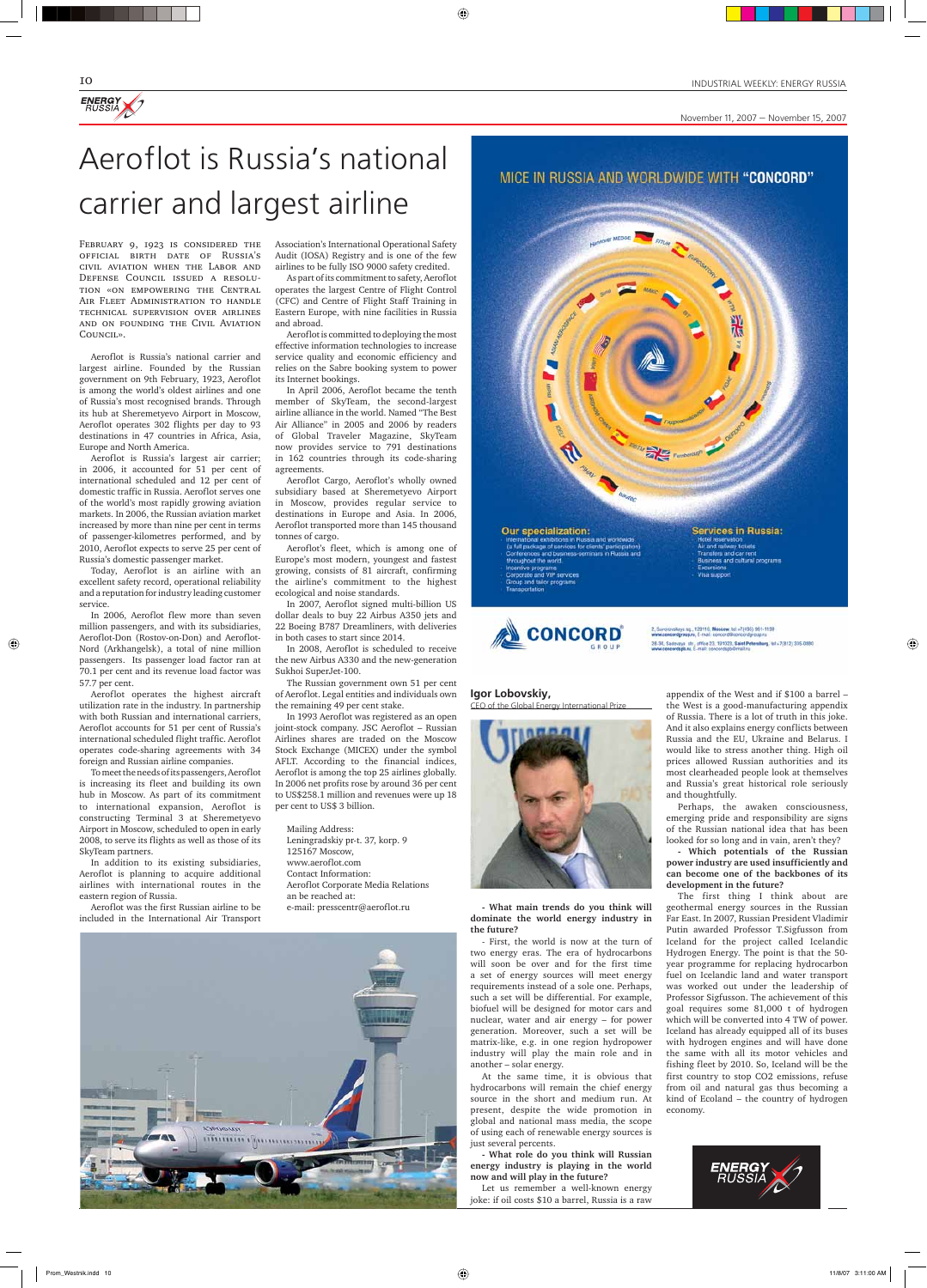

November 11, 2007 — November 15, 2007

February 9, 1923 is considered the official birth date of Russia's civil aviation when the Labor and Defense Council issued a resolution «on empowering the Central Air Fleet Administration to handle technical supervision over airlines and on founding the Civil Aviation Council».

Aeroflot is Russia's national carrier and largest airline. Founded by the Russian government on 9th February, 1923, Aeroflot is among the world's oldest airlines and one of Russia's most recognised brands. Through its hub at Sheremetyevo Airport in Moscow, Aeroflot operates 302 flights per day to 93 destinations in 47 countries in Africa, Asia, Europe and North America.

Aeroflot is Russia's largest air carrier; in 2006, it accounted for 51 per cent of international scheduled and 12 per cent of domestic traffic in Russia. Aeroflot serves one of the world's most rapidly growing aviation markets. In 2006, the Russian aviation market increased by more than nine per cent in terms of passenger-kilometres performed, and by 2010, Aeroflot expects to serve 25 per cent of Russia's domestic passenger market.

Today, Aeroflot is an airline with an excellent safety record, operational reliability and a reputation for industry leading customer service.

In 2006, Aeroflot flew more than seven million passengers, and with its subsidiaries, Aeroflot-Don (Rostov-on-Don) and Aeroflot-Nord (Arkhangelsk), a total of nine million passengers. Its passenger load factor ran at 70.1 per cent and its revenue load factor was 57.7 per cent.

◈

Aeroflot operates the highest aircraft utilization rate in the industry. In partnership with both Russian and international carriers, Aeroflot accounts for 51 per cent of Russia's international scheduled flight traffic. Aeroflot operates code-sharing agreements with 34 foreign and Russian airline companies.

To meet the needs of its passengers, Aeroflot is increasing its fleet and building its own hub in Moscow. As part of its commitment to international expansion, Aeroflot is constructing Terminal 3 at Sheremetyevo Airport in Moscow, scheduled to open in early 2008, to serve its flights as well as those of its SkyTeam partners.

In addition to its existing subsidiaries, Aeroflot is planning to acquire additional airlines with international routes in the eastern region of Russia.

Aeroflot was the first Russian airline to be

#### included in the International Air Transport



Association's International Operational Safety Audit (IOSA) Registry and is one of the few airlines to be fully ISO 9000 safety credited.

 $\bigoplus$ 

As part of its commitment to safety, Aeroflot operates the largest Centre of Flight Control (CFC) and Centre of Flight Staff Training in Eastern Europe, with nine facilities in Russia and abroad.

Aeroflot is committed to deploying the most effective information technologies to increase service quality and economic efficiency and relies on the Sabre booking system to power its Internet bookings.

In April 2006, Aeroflot became the tenth member of SkyTeam, the second-largest airline alliance in the world. Named "The Best Air Alliance" in 2005 and 2006 by readers of Global Traveler Magazine, SkyTeam now provides service to 791 destinations in 162 countries through its code-sharing agreements.

Aeroflot Cargo, Aeroflot's wholly owned subsidiary based at Sheremetyevo Airport in Moscow, provides regular service to destinations in Europe and Asia. In 2006, Aeroflot transported more than 145 thousand tonnes of cargo.

Aeroflot's fleet, which is among one of Europe's most modern, youngest and fastest growing, consists of 81 aircraft, confirming the airline's commitment to the highest ecological and noise standards.

In 2007, Aeroflot signed multi-billion US dollar deals to buy 22 Airbus A350 jets and 22 Boeing B787 Dreamliners, with deliveries in both cases to start since 2014.

In 2008, Aeroflot is scheduled to receive the new Airbus A330 and the new-generation Sukhoi SuperJet-100.

The Russian government own 51 per cent of Aeroflot. Legal entities and individuals own the remaining 49 per cent stake.

In 1993 Aeroflot was registered as an open joint-stock company. JSC Aeroflot – Russian Airlines shares are traded on the Moscow Stock Exchange (MICEX) under the symbol AFLT. According to the financial indices, Aeroflot is among the top 25 airlines globally. In 2006 net profits rose by around 36 per cent to US\$258.1 million and revenues were up 18 per cent to US\$ 3 billion.

Mailing Address: Leningradskiy pr-t. 37, korp. 9 125167 Moscow, www.aeroflot.com Contact Information: Aeroflot Corporate Media Relations an be reached at: e-mail: presscentr@aeroflot.ru

#### MICE IN RUSSIA AND WORLDWIDE WITH "CONCORD"

Our specialization: al exhibitions in Russia and w (a full package of services for clients' pa ve programs<br>ate and VIP services and tailor progra

Services in Russia.

and railway tickets

灈



skaya sq., 129110, Moscow, tel: +7(495) 961-1199 eys str., office 23, 191023, Saint Petersburg, tal.+7(812) 335-0880

# Aeroflot is Russia's national carrier and largest airline

**Igor Lobovskiy,** CEO of the Global Energy International Prize



**- What main trends do you think will** 

**dominate the world energy industry in the future?**

- First, the world is now at the turn of two energy eras. The era of hydrocarbons will soon be over and for the first time a set of energy sources will meet energy requirements instead of a sole one. Perhaps, such a set will be differential. For example, biofuel will be designed for motor cars and nuclear, water and air energy – for power generation. Moreover, such a set will be matrix-like, e.g. in one region hydropower industry will play the main role and in another – solar energy.

At the same time, it is obvious that hydrocarbons will remain the chief energy source in the short and medium run. At present, despite the wide promotion in global and national mass media, the scope of using each of renewable energy sources is just several percents.

**- What role do you think will Russian energy industry is playing in the world now and will play in the future?**

Let us remember a well-known energy joke: if oil costs \$10 a barrel, Russia is a raw



appendix of the West and if \$100 a barrel – the West is a good-manufacturing appendix of Russia. There is a lot of truth in this joke. And it also explains energy conflicts between Russia and the EU, Ukraine and Belarus. I would like to stress another thing. High oil prices allowed Russian authorities and its most clearheaded people look at themselves and Russia's great historical role seriously and thoughtfully.

Perhaps, the awaken consciousness, emerging pride and responsibility are signs of the Russian national idea that has been looked for so long and in vain, aren't they?

**- Which potentials of the Russian power industry are used insufficiently and can become one of the backbones of its development in the future?**

The first thing I think about are geothermal energy sources in the Russian Far East. In 2007, Russian President Vladimir Putin awarded Professor T.Sigfusson from Iceland for the project called Icelandic Hydrogen Energy. The point is that the 50 year programme for replacing hydrocarbon fuel on Icelandic land and water transport was worked out under the leadership of Professor Sigfusson. The achievement of this goal requires some 81,000 t of hydrogen which will be converted into 4 TW of power. Iceland has already equipped all of its buses with hydrogen engines and will have done the same with all its motor vehicles and fishing fleet by 2010. So, Iceland will be the first country to stop CO2 emissions, refuse from oil and natural gas thus becoming a kind of Ecoland – the country of hydrogen economy.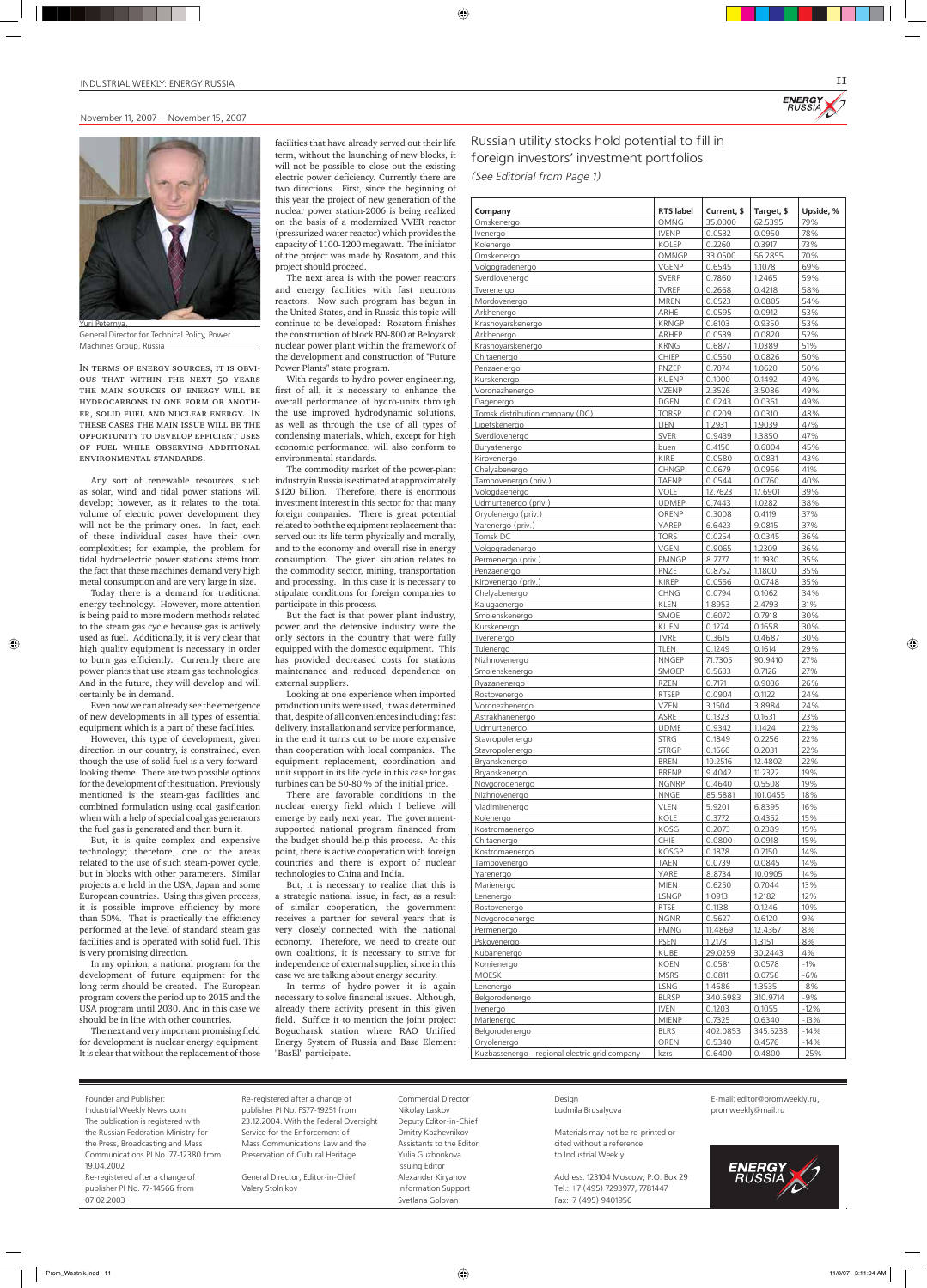

| Company                                        | <b>RTS</b> label             | Current, \$       | Target, \$        | Upside, %      |
|------------------------------------------------|------------------------------|-------------------|-------------------|----------------|
| Omskenergo                                     | <b>OMNG</b>                  | 35.0000           | 62.5395           | 79%            |
| Ivenergo                                       | <b>IVENP</b>                 | 0.0532            | 0.0950            | 78%            |
| Kolenergo                                      | <b>KOLEP</b>                 | 0.2260            | 0.3917            | 73%            |
| Omskenergo<br>Volgogradenergo                  | <b>OMNGP</b><br><b>VGENP</b> | 33.0500<br>0.6545 | 56.2855<br>1.1078 | 70%<br>69%     |
| Sverdlovenergo                                 | <b>SVERP</b>                 | 0.7860            | 1.2465            | 59%            |
| Tverenergo                                     | <b>TVREP</b>                 | 0.2668            | 0.4218            | 58%            |
| Mordovenergo                                   | <b>MREN</b>                  | 0.0523            | 0.0805            | 54%            |
| Arkhenergo                                     | <b>ARHE</b>                  | 0.0595            | 0.0912            | 53%            |
| Krasnoyarskenergo                              | <b>KRNGP</b>                 | 0.6103            | 0.9350            | 53%            |
| Arkhenergo                                     | ARHEP                        | 0.0539            | 0.0820            | 52%            |
| Krasnoyarskenergo                              | <b>KRNG</b>                  | 0.6877            | 1.0389            | 51%            |
| Chitaenergo<br>Penzaenergo                     | <b>CHIEP</b><br>PNZEP        | 0.0550<br>0.7074  | 0.0826<br>1.0620  | 50%<br>50%     |
| Kurskenergo                                    | <b>KUENP</b>                 | 0.1000            | 0.1492            | 49%            |
| Voronezhenergo                                 | <b>VZENP</b>                 | 2.3526            | 3.5086            | 49%            |
| Dagenergo                                      | <b>DGEN</b>                  | 0.0243            | 0.0361            | 49%            |
| Tomsk distribution company (DC)                | <b>TORSP</b>                 | 0.0209            | 0.0310            | 48%            |
| Lipetskenergo                                  | LIEN                         | 1.2931            | 1.9039            | 47%            |
| Sverdlovenergo                                 | <b>SVER</b>                  | 0.9439            | 1.3850            | 47%            |
| Buryatenergo                                   | buen                         | 0.4150            | 0.6004            | 45%            |
| Kirovenergo                                    | KIRE                         | 0.0580            | 0.0831            | 43%            |
| Chelyabenergo                                  | <b>CHNGP</b>                 | 0.0679            | 0.0956            | 41%            |
| Tambovenergo (priv.)                           | <b>TAENP</b>                 | 0.0544<br>12.7623 | 0.0760            | 40%            |
| Vologdaenergo<br>Udmurtenergo (priv.)          | <b>VOLE</b><br><b>UDMEP</b>  | 0.7443            | 17.6901<br>1.0282 | 39%<br>38%     |
| Oryolenergo (priv.)                            | ORENP                        | 0.3008            | 0.4119            | 37%            |
| Yarenergo (priv.)                              | YAREP                        | 6.6423            | 9.0815            | 37%            |
| Tomsk DC                                       | <b>TORS</b>                  | 0.0254            | 0.0345            | 36%            |
| Volgogradenergo                                | <b>VGEN</b>                  | 0.9065            | 1.2309            | 36%            |
| Permenergo (priv.)                             | <b>PMNGP</b>                 | 8.2777            | 11.1930           | 35%            |
| Penzaenergo                                    | <b>PNZE</b>                  | 0.8752            | 1.1800            | 35%            |
| Kirovenergo (priv.)                            | <b>KIREP</b>                 | 0.0556            | 0.0748            | 35%            |
| Chelyabenergo                                  | <b>CHNG</b>                  | 0.0794            | 0.1062            | 34%            |
| Kalugaenergo                                   | <b>KLEN</b>                  | 1.8953            | 2.4793            | 31%            |
| Smolenskenergo                                 | SMOE                         | 0.6072<br>0.1274  | 0.7918<br>0.1658  | 30%<br>30%     |
| Kurskenergo<br>Tverenergo                      | <b>KUEN</b><br><b>TVRE</b>   | 0.3615            | 0.4687            | 30%            |
| Tulenergo                                      | <b>TLEN</b>                  | 0.1249            | 0.1614            | 29%            |
| Nizhnovenergo                                  | <b>NNGEP</b>                 | 71.7305           | 90.9410           | 27%            |
| Smolenskenergo                                 | SMOEP                        | 0.5633            | 0.7126            | 27%            |
| Ryazanenergo                                   | <b>RZEN</b>                  | 0.7171            | 0.9036            | 26%            |
| Rostovenergo                                   | <b>RTSEP</b>                 | 0.0904            | 0.1122            | 24%            |
| Voronezhenergo                                 | <b>VZEN</b>                  | 3.1504            | 3.8984            | 24%            |
| Astrakhanenergo                                | ASRE                         | 0.1323            | 0.1631            | 23%            |
| Udmurtenergo                                   | <b>UDME</b><br><b>STRG</b>   | 0.9342            | 1.1424            | 22%<br>22%     |
| Stavropolenergo<br>Stavropolenergo             | <b>STRGP</b>                 | 0.1849<br>0.1666  | 0.2256<br>0.2031  | 22%            |
| Bryanskenergo                                  | <b>BREN</b>                  | 10.2516           | 12.4802           | 22%            |
| Bryanskenergo                                  | <b>BRENP</b>                 | 9.4042            | 11.2322           | 19%            |
| Novgorodenergo                                 | <b>NGNRP</b>                 | 0.4640            | 0.5508            | 19%            |
| Nizhnovenergo                                  | <b>NNGE</b>                  | 85.5881           | 101.0455          | 18%            |
| Vladimirenergo                                 | <b>VLEN</b>                  | 5.9201            | 6.8395            | 16%            |
| Kolenergo                                      | KOLE                         | 0.3772            | 0.4352            | 15%            |
| Kostromaenergo                                 | KOSG                         | 0.2073            | 0.2389            | 15%            |
| Chitaenergo                                    | <b>CHIE</b><br><b>KOSGP</b>  | 0.0800<br>0.1878  | 0.0918<br>0.2150  | 15%<br>14%     |
| Kostromaenergo<br>Tambovenergo                 | <b>TAEN</b>                  | 0.0739            | 0.0845            | 14%            |
| Yarenergo                                      | YARE                         | 8.8734            | 10.0905           | 14%            |
| Marienergo                                     | <b>MIEN</b>                  | 0.6250            | 0.7044            | 13%            |
| Lenenergo                                      | <b>LSNGP</b>                 | 1.0913            | 1.2182            | 12%            |
| Rostovenergo                                   | <b>RTSE</b>                  | 0.1138            | 0.1246            | 10%            |
| Novgorodenergo                                 | <b>NGNR</b>                  | 0.5627            | 0.6120            | 9%             |
| Permenergo                                     | <b>PMNG</b>                  | 11.4869           | 12.4367           | 8%             |
| Pskovenergo                                    | <b>PSEN</b>                  | 1.2178            | 1.3151            | 8%             |
| Kubanenergo                                    | <b>KUBE</b>                  | 29.0259           | 30.2443           | 4%             |
| Komienergo<br><b>MOESK</b>                     | <b>KOEN</b><br><b>MSRS</b>   | 0.0581<br>0.0811  | 0.0578<br>0.0758  | $-1%$<br>$-6%$ |
| Lenenergo                                      | <b>LSNG</b>                  | 1.4686            | 1.3535            | $-8%$          |
| Belgorodenergo                                 | <b>BLRSP</b>                 | 340.6983          | 310.9714          | $-9%$          |
| Ivenergo                                       | <b>IVEN</b>                  | 0.1203            | 0.1055            | $-12%$         |
| Marienergo                                     | <b>MIENP</b>                 | 0.7325            | 0.6340            | $-13%$         |
| Belgorodenergo                                 | <b>BLRS</b>                  | 402.0853          | 345.5238          | $-14%$         |
| Oryolenergo                                    | OREN                         | 0.5340            | 0.4576            | $-14%$         |
| Kuzbassenergo - regional electric grid company | kzrs                         | 0.6400            | 0.4800            | $-25%$         |

IN TERMS OF ENERGY SOURCES, IT IS OBVIous that within the next 50 years the main sources of energy will be hydrocarbons in one form or another, solid fuel and nuclear energy. In these cases the main issue will be the opportunity to develop efficient uses of fuel while observing additional environmental standards.



General Director for Technical Policy, Power Machines Group, Russia

Any sort of renewable resources, such as solar, wind and tidal power stations will develop; however, as it relates to the total volume of electric power development they will not be the primary ones. In fact, each of these individual cases have their own complexities; for example, the problem for tidal hydroelectric power stations stems from the fact that these machines demand very high metal consumption and are very large in size.

Today there is a demand for traditional energy technology. However, more attention is being paid to more modern methods related to the steam gas cycle because gas is actively used as fuel. Additionally, it is very clear that high quality equipment is necessary in order to burn gas efficiently. Currently there are power plants that use steam gas technologies. And in the future, they will develop and will certainly be in demand.

◈

Even now we can already see the emergence of new developments in all types of essential equipment which is a part of these facilities.

However, this type of development, given direction in our country, is constrained, even though the use of solid fuel is a very forwardlooking theme. There are two possible options for the development of the situation. Previously mentioned is the steam-gas facilities and combined formulation using coal gasification when with a help of special coal gas generators the fuel gas is generated and then burn it.

But, it is quite complex and expensive technology; therefore, one of the areas related to the use of such steam-power cycle, but in blocks with other parameters. Similar projects are held in the USA, Japan and some European countries. Using this given process, it is possible improve efficiency by more than 50%. That is practically the efficiency performed at the level of standard steam gas facilities and is operated with solid fuel. This is very promising direction.

In my opinion, a national program for the development of future equipment for the long-term should be created. The European program covers the period up to 2015 and the USA program until 2030. And in this case we should be in line with other countries.

The next and very important promising field for development is nuclear energy equipment. It is clear that without the replacement of those facilities that have already served out their life term, without the launching of new blocks, it will not be possible to close out the existing electric power deficiency. Currently there are two directions. First, since the beginning of this year the project of new generation of the nuclear power station-2006 is being realized on the basis of a modernized VVER reactor (pressurized water reactor) which provides the capacity of 1100-1200 megawatt. The initiator of the project was made by Rosatom, and this project should proceed.

 $\bigoplus$ 

The next area is with the power reactors and energy facilities with fast neutrons reactors. Now such program has begun in the United States, and in Russia this topic will continue to be developed: Rosatom finishes the construction of block BN-800 at Beloyarsk nuclear power plant within the framework of the development and construction of "Future Power Plants" state program.

With regards to hydro-power engineering, first of all, it is necessary to enhance the overall performance of hydro-units through the use improved hydrodynamic solutions, as well as through the use of all types of condensing materials, which, except for high economic performance, will also conform to environmental standards.

The commodity market of the power-plant industry in Russia is estimated at approximately \$120 billion. Therefore, there is enormous investment interest in this sector for that many foreign companies. There is great potential related to both the equipment replacement that served out its life term physically and morally, and to the economy and overall rise in energy consumption. The given situation relates to the commodity sector, mining, transportation and processing. In this case it is necessary to stipulate conditions for foreign companies to participate in this process.

But the fact is that power plant industry, power and the defensive industry were the only sectors in the country that were fully equipped with the domestic equipment. This has provided decreased costs for stations maintenance and reduced dependence on external suppliers.

Looking at one experience when imported production units were used, it was determined that, despite of all conveniences including: fast delivery, installation and service performance, in the end it turns out to be more expensive than cooperation with local companies. The equipment replacement, coordination and unit support in its life cycle in this case for gas turbines can be 50-80 % of the initial price.

There are favorable conditions in the nuclear energy field which I believe will emerge by early next year. The governmentsupported national program financed from the budget should help this process. At this point, there is active cooperation with foreign countries and there is export of nuclear technologies to China and India.

But, it is necessary to realize that this is a strategic national issue, in fact, as a result of similar cooperation, the government receives a partner for several years that is very closely connected with the national economy. Therefore, we need to create our own coalitions, it is necessary to strive for independence of external supplier, since in this case we are talking about energy security.

In terms of hydro-power it is again necessary to solve financial issues. Although, already there activity present in this given field. Suffice it to mention the joint project Bogucharsk station where RAO Unified Energy System of Russia and Base Element "BasEl" participate.

| Founder and Publisher:              | Re-registered after a change of        | Commercial Director      | Design                              | E-mail: editor@promweekly.ru, |
|-------------------------------------|----------------------------------------|--------------------------|-------------------------------------|-------------------------------|
| Industrial Weekly Newsroom          | publisher PI No. FS77-19251 from       | Nikolay Laskov           | Ludmila Brusalyova                  | promweekly@mail.ru            |
| The publication is registered with  | 23.12.2004. With the Federal Oversight | Deputy Editor-in-Chief   |                                     |                               |
| the Russian Federation Ministry for | Service for the Enforcement of         | Dmitry Kozhevnikov       | Materials may not be re-printed or  |                               |
| the Press, Broadcasting and Mass    | Mass Communications Law and the        | Assistants to the Editor | cited without a reference           |                               |
| Communications PI No. 77-12380 from | Preservation of Cultural Heritage      | Yulia Guzhonkova         | to Industrial Weekly                |                               |
| 19.04.2002                          |                                        | Issuing Editor           |                                     |                               |
| Re-registered after a change of     | General Director, Editor-in-Chief      | Alexander Kiryanov       | Address: 123104 Moscow, P.O. Box 29 | <b>ENERGY</b><br>RUSSIA       |
| publisher PI No. 77-14566 from      | Valery Stolnikov                       | Information Support      | Tel.: +7 (495) 7293977, 7781447     |                               |
| 07.02.2003                          |                                        | Svetlana Golovan         | Fax: 7 (495) 9401956                |                               |